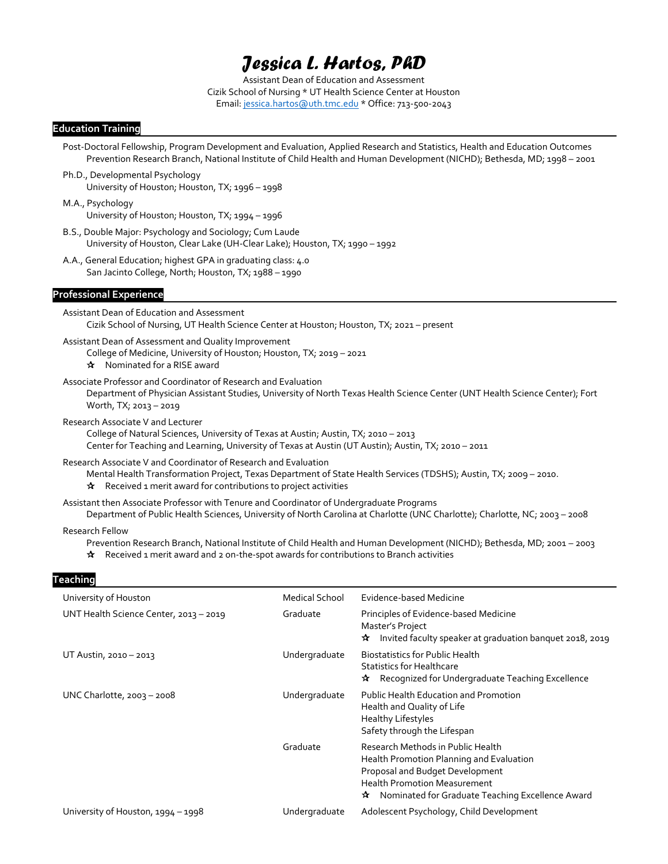# *Jessica L. Hartos, PhD*

Assistant Dean of Education and Assessment Cizik School of Nursing \* UT Health Science Center at Houston Email[: jessica.hartos@uth.tmc.edu](mailto:jessica.hartos@uth.tmc.edu) \* Office: 713-500-2043

# **Education Training**

- Post-Doctoral Fellowship, Program Development and Evaluation, Applied Research and Statistics, Health and Education Outcomes Prevention Research Branch, National Institute of Child Health and Human Development (NICHD); Bethesda, MD; 1998 – 2001
- Ph.D., Developmental Psychology University of Houston; Houston, TX; 1996 – 1998
- M.A., Psychology University of Houston; Houston, TX; 1994 – 1996
- B.S., Double Major: Psychology and Sociology; Cum Laude University of Houston, Clear Lake (UH-Clear Lake); Houston, TX; 1990 – 1992
- A.A., General Education; highest GPA in graduating class: 4.0 San Jacinto College, North; Houston, TX; 1988 – 1990

# **Professional Experience**

Assistant Dean of Education and Assessment Cizik School of Nursing, UT Health Science Center at Houston; Houston, TX; 2021 – present

Assistant Dean of Assessment and Quality Improvement

College of Medicine, University of Houston; Houston, TX; 2019 – 2021

- $\mathbf{\hat{x}}$  Nominated for a RISE award
- Associate Professor and Coordinator of Research and Evaluation

Department of Physician Assistant Studies, University of North Texas Health Science Center (UNT Health Science Center); Fort Worth, TX; 2013 – 2019

Research Associate V and Lecturer

College of Natural Sciences, University of Texas at Austin; Austin, TX; 2010 – 2013 Center for Teaching and Learning, University of Texas at Austin (UT Austin); Austin, TX; 2010 – 2011

Research Associate V and Coordinator of Research and Evaluation

Mental Health Transformation Project, Texas Department of State Health Services (TDSHS); Austin, TX; 2009 – 2010.

 $\mathbf{\hat{x}}$  Received 1 merit award for contributions to project activities

Assistant then Associate Professor with Tenure and Coordinator of Undergraduate Programs

Department of Public Health Sciences, University of North Carolina at Charlotte (UNC Charlotte); Charlotte, NC; 2003 - 2008 Research Fellow

Prevention Research Branch, National Institute of Child Health and Human Development (NICHD); Bethesda, MD; 2001 – 2003

Received 1 merit award and 2 on-the-spot awards for contributions to Branch activities

#### **Teaching**

| University of Houston                  | Medical School | Evidence-based Medicine                                                                                                                                                                                          |
|----------------------------------------|----------------|------------------------------------------------------------------------------------------------------------------------------------------------------------------------------------------------------------------|
| UNT Health Science Center, 2013 - 2019 | Graduate       | Principles of Evidence-based Medicine<br>Master's Project<br>Invited faculty speaker at graduation banquet 2018, 2019<br>☆                                                                                       |
| UT Austin, 2010 - 2013                 | Undergraduate  | <b>Biostatistics for Public Health</b><br><b>Statistics for Healthcare</b><br>Recognized for Undergraduate Teaching Excellence                                                                                   |
| UNC Charlotte, 2003 - 2008             | Undergraduate  | <b>Public Health Education and Promotion</b><br>Health and Quality of Life<br><b>Healthy Lifestyles</b><br>Safety through the Lifespan                                                                           |
|                                        | Graduate       | Research Methods in Public Health<br>Health Promotion Planning and Evaluation<br>Proposal and Budget Development<br><b>Health Promotion Measurement</b><br>Nominated for Graduate Teaching Excellence Award<br>₩ |
| University of Houston, 1994 - 1998     | Undergraduate  | Adolescent Psychology, Child Development                                                                                                                                                                         |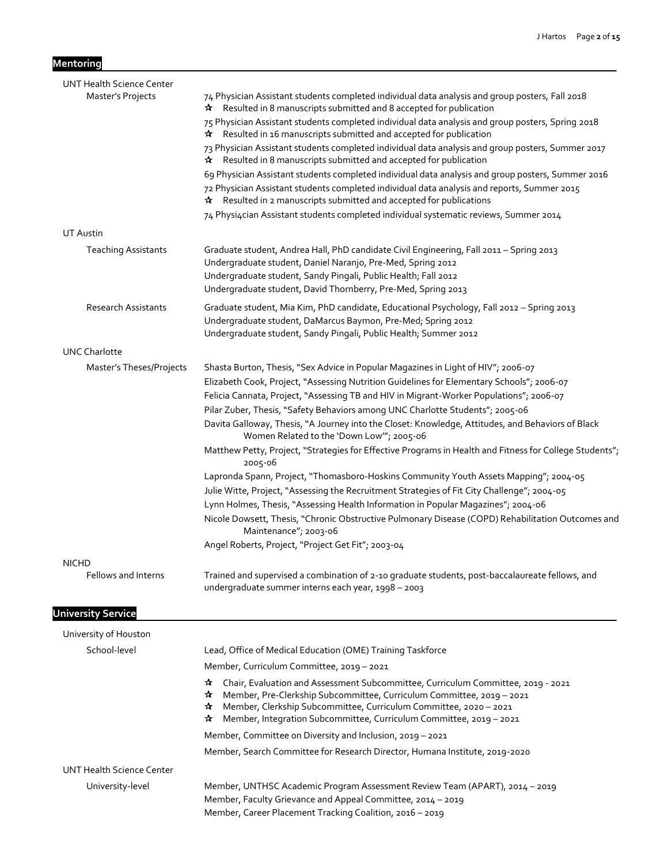# **Mentoring**

| <b>UNT Health Science Center</b> |                                                                                                                                                                                                                                                                                           |
|----------------------------------|-------------------------------------------------------------------------------------------------------------------------------------------------------------------------------------------------------------------------------------------------------------------------------------------|
| Master's Projects                | 74 Physician Assistant students completed individual data analysis and group posters, Fall 2018<br>Resulted in 8 manuscripts submitted and 8 accepted for publication<br>ਮੇ                                                                                                               |
|                                  | 75 Physician Assistant students completed individual data analysis and group posters, Spring 2018<br>Resulted in 16 manuscripts submitted and accepted for publication<br>☆                                                                                                               |
|                                  | 73 Physician Assistant students completed individual data analysis and group posters, Summer 2017<br>* Resulted in 8 manuscripts submitted and accepted for publication                                                                                                                   |
|                                  | 69 Physician Assistant students completed individual data analysis and group posters, Summer 2016                                                                                                                                                                                         |
|                                  | 72 Physician Assistant students completed individual data analysis and reports, Summer 2015<br>* Resulted in 2 manuscripts submitted and accepted for publications                                                                                                                        |
|                                  | 74 Physi4cian Assistant students completed individual systematic reviews, Summer 2014                                                                                                                                                                                                     |
| <b>UT Austin</b>                 |                                                                                                                                                                                                                                                                                           |
| <b>Teaching Assistants</b>       | Graduate student, Andrea Hall, PhD candidate Civil Engineering, Fall 2011 - Spring 2013<br>Undergraduate student, Daniel Naranjo, Pre-Med, Spring 2012<br>Undergraduate student, Sandy Pingali, Public Health; Fall 2012<br>Undergraduate student, David Thornberry, Pre-Med, Spring 2013 |
| <b>Research Assistants</b>       | Graduate student, Mia Kim, PhD candidate, Educational Psychology, Fall 2012 - Spring 2013<br>Undergraduate student, DaMarcus Baymon, Pre-Med; Spring 2012<br>Undergraduate student, Sandy Pingali, Public Health; Summer 2012                                                             |
| <b>UNC Charlotte</b>             |                                                                                                                                                                                                                                                                                           |
| Master's Theses/Projects         | Shasta Burton, Thesis, "Sex Advice in Popular Magazines in Light of HIV"; 2006-07                                                                                                                                                                                                         |
|                                  | Elizabeth Cook, Project, "Assessing Nutrition Guidelines for Elementary Schools"; 2006-07                                                                                                                                                                                                 |
|                                  | Felicia Cannata, Project, "Assessing TB and HIV in Migrant-Worker Populations"; 2006-07                                                                                                                                                                                                   |
|                                  | Pilar Zuber, Thesis, "Safety Behaviors among UNC Charlotte Students"; 2005-06                                                                                                                                                                                                             |
|                                  | Davita Galloway, Thesis, "A Journey into the Closet: Knowledge, Attitudes, and Behaviors of Black<br>Women Related to the 'Down Low"; 2005-06                                                                                                                                             |
|                                  | Matthew Petty, Project, "Strategies for Effective Programs in Health and Fitness for College Students";<br>2005-06                                                                                                                                                                        |
|                                  | Lapronda Spann, Project, "Thomasboro-Hoskins Community Youth Assets Mapping"; 2004-05                                                                                                                                                                                                     |
|                                  | Julie Witte, Project, "Assessing the Recruitment Strategies of Fit City Challenge"; 2004-05                                                                                                                                                                                               |
|                                  | Lynn Holmes, Thesis, "Assessing Health Information in Popular Magazines"; 2004-06<br>Nicole Dowsett, Thesis, "Chronic Obstructive Pulmonary Disease (COPD) Rehabilitation Outcomes and<br>Maintenance"; 2003-06                                                                           |
|                                  | Angel Roberts, Project, "Project Get Fit"; 2003-04                                                                                                                                                                                                                                        |
| <b>NICHD</b>                     |                                                                                                                                                                                                                                                                                           |
| Fellows and Interns              | Trained and supervised a combination of 2-10 graduate students, post-baccalaureate fellows, and<br>undergraduate summer interns each year, 1998 - 2003                                                                                                                                    |
| University Service               |                                                                                                                                                                                                                                                                                           |
| University of Houston            |                                                                                                                                                                                                                                                                                           |
| School-level                     | Lead, Office of Medical Education (OME) Training Taskforce                                                                                                                                                                                                                                |
|                                  | Member, Curriculum Committee, 2019 - 2021                                                                                                                                                                                                                                                 |
|                                  | ☆<br>Chair, Evaluation and Assessment Subcommittee, Curriculum Committee, 2019 - 2021                                                                                                                                                                                                     |
|                                  | Member, Pre-Clerkship Subcommittee, Curriculum Committee, 2019 - 2021<br>₩<br>Member, Clerkship Subcommittee, Curriculum Committee, 2020 - 2021<br>₩<br>Member, Integration Subcommittee, Curriculum Committee, 2019 - 2021<br>☆                                                          |
|                                  | Member, Committee on Diversity and Inclusion, 2019 - 2021                                                                                                                                                                                                                                 |
|                                  | Member, Search Committee for Research Director, Humana Institute, 2019-2020                                                                                                                                                                                                               |
| <b>UNT Health Science Center</b> |                                                                                                                                                                                                                                                                                           |
| University-level                 | Member, UNTHSC Academic Program Assessment Review Team (APART), 2014 - 2019                                                                                                                                                                                                               |

Member, Faculty Grievance and Appeal Committee, 2014 – 2019 Member, Career Placement Tracking Coalition, 2016 – 2019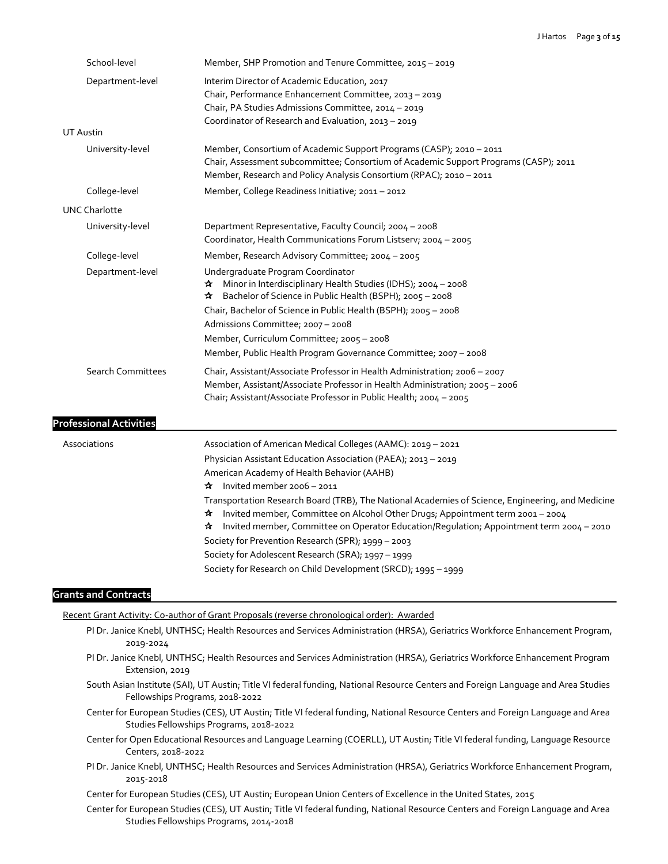| School-level                   | Member, SHP Promotion and Tenure Committee, 2015 - 2019                                                                                                                                                                                                                                                                                                                                                                                                                                                                                                                                                                                                                                                |
|--------------------------------|--------------------------------------------------------------------------------------------------------------------------------------------------------------------------------------------------------------------------------------------------------------------------------------------------------------------------------------------------------------------------------------------------------------------------------------------------------------------------------------------------------------------------------------------------------------------------------------------------------------------------------------------------------------------------------------------------------|
| Department-level               | Interim Director of Academic Education, 2017<br>Chair, Performance Enhancement Committee, 2013 - 2019<br>Chair, PA Studies Admissions Committee, 2014 - 2019<br>Coordinator of Research and Evaluation, 2013 - 2019                                                                                                                                                                                                                                                                                                                                                                                                                                                                                    |
| <b>UT Austin</b>               |                                                                                                                                                                                                                                                                                                                                                                                                                                                                                                                                                                                                                                                                                                        |
| University-level               | Member, Consortium of Academic Support Programs (CASP); 2010 - 2011<br>Chair, Assessment subcommittee; Consortium of Academic Support Programs (CASP); 2011<br>Member, Research and Policy Analysis Consortium (RPAC); 2010 - 2011                                                                                                                                                                                                                                                                                                                                                                                                                                                                     |
| College-level                  | Member, College Readiness Initiative; 2011 - 2012                                                                                                                                                                                                                                                                                                                                                                                                                                                                                                                                                                                                                                                      |
| <b>UNC Charlotte</b>           |                                                                                                                                                                                                                                                                                                                                                                                                                                                                                                                                                                                                                                                                                                        |
| University-level               | Department Representative, Faculty Council; 2004 - 2008<br>Coordinator, Health Communications Forum Listserv; 2004 - 2005                                                                                                                                                                                                                                                                                                                                                                                                                                                                                                                                                                              |
| College-level                  | Member, Research Advisory Committee; 2004 - 2005                                                                                                                                                                                                                                                                                                                                                                                                                                                                                                                                                                                                                                                       |
| Department-level               | Undergraduate Program Coordinator<br>* Minor in Interdisciplinary Health Studies (IDHS); 2004 - 2008<br>Bachelor of Science in Public Health (BSPH); 2005 - 2008<br>☆<br>Chair, Bachelor of Science in Public Health (BSPH); 2005 - 2008<br>Admissions Committee; 2007-2008<br>Member, Curriculum Committee; 2005 - 2008<br>Member, Public Health Program Governance Committee; 2007 - 2008                                                                                                                                                                                                                                                                                                            |
| <b>Search Committees</b>       | Chair, Assistant/Associate Professor in Health Administration; 2006 – 2007<br>Member, Assistant/Associate Professor in Health Administration; 2005 - 2006<br>Chair; Assistant/Associate Professor in Public Health; 2004 - 2005                                                                                                                                                                                                                                                                                                                                                                                                                                                                        |
| <b>Professional Activities</b> |                                                                                                                                                                                                                                                                                                                                                                                                                                                                                                                                                                                                                                                                                                        |
| Associations                   | Association of American Medical Colleges (AAMC): 2019 - 2021<br>Physician Assistant Education Association (PAEA); 2013 - 2019<br>American Academy of Health Behavior (AAHB)<br>$\mathbf{\hat{x}}$ Invited member 2006 - 2011<br>Transportation Research Board (TRB), The National Academies of Science, Engineering, and Medicine<br>Invited member, Committee on Alcohol Other Drugs; Appointment term 2001 – 2004<br>₩<br>Invited member, Committee on Operator Education/Regulation; Appointment term 2004 - 2010<br>₩<br>Society for Prevention Research (SPR); 1999 - 2003<br>Society for Adolescent Research (SRA); 1997 - 1999<br>Society for Research on Child Development (SRCD); 1995 - 1999 |
|                                |                                                                                                                                                                                                                                                                                                                                                                                                                                                                                                                                                                                                                                                                                                        |
| <b>Grants and Contracts</b>    |                                                                                                                                                                                                                                                                                                                                                                                                                                                                                                                                                                                                                                                                                                        |

Recent Grant Activity: Co-author of Grant Proposals (reverse chronological order): Awarded

- PI Dr. Janice Knebl, UNTHSC; Health Resources and Services Administration (HRSA), Geriatrics Workforce Enhancement Program, 2019-2024
- PI Dr. Janice Knebl, UNTHSC; Health Resources and Services Administration (HRSA), Geriatrics Workforce Enhancement Program Extension, 2019
- South Asian Institute (SAI), UT Austin; Title VI federal funding, National Resource Centers and Foreign Language and Area Studies Fellowships Programs, 2018-2022
- Center for European Studies (CES), UT Austin; Title VI federal funding, National Resource Centers and Foreign Language and Area Studies Fellowships Programs, 2018-2022
- Center for Open Educational Resources and Language Learning (COERLL), UT Austin; Title VI federal funding, Language Resource Centers, 2018-2022
- PI Dr. Janice Knebl, UNTHSC; Health Resources and Services Administration (HRSA), Geriatrics Workforce Enhancement Program, 2015-2018
- Center for European Studies (CES), UT Austin; European Union Centers of Excellence in the United States, 2015
- Center for European Studies (CES), UT Austin; Title VI federal funding, National Resource Centers and Foreign Language and Area Studies Fellowships Programs, 2014-2018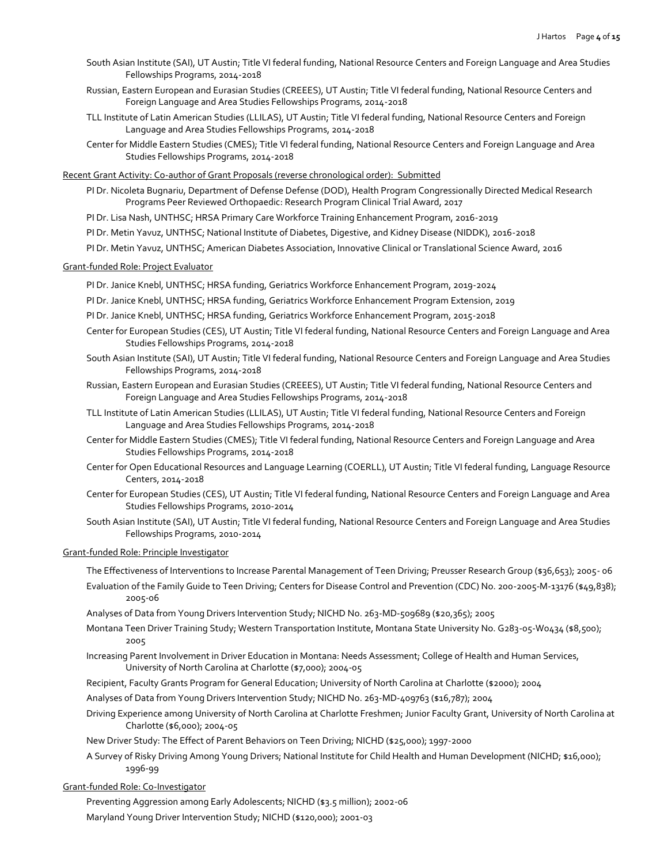- South Asian Institute (SAI), UT Austin; Title VI federal funding, National Resource Centers and Foreign Language and Area Studies Fellowships Programs, 2014-2018
- Russian, Eastern European and Eurasian Studies (CREEES), UT Austin; Title VI federal funding, National Resource Centers and Foreign Language and Area Studies Fellowships Programs, 2014-2018
- TLL Institute of Latin American Studies (LLILAS), UT Austin; Title VI federal funding, National Resource Centers and Foreign Language and Area Studies Fellowships Programs, 2014-2018
- Center for Middle Eastern Studies (CMES); Title VI federal funding, National Resource Centers and Foreign Language and Area Studies Fellowships Programs, 2014-2018

Recent Grant Activity: Co-author of Grant Proposals (reverse chronological order): Submitted

- PI Dr. Nicoleta Bugnariu, Department of Defense Defense (DOD), Health Program Congressionally Directed Medical Research Programs Peer Reviewed Orthopaedic: Research Program Clinical Trial Award, 2017
- PI Dr. Lisa Nash, UNTHSC; HRSA Primary Care Workforce Training Enhancement Program, 2016-2019
- PI Dr. Metin Yavuz, UNTHSC; National Institute of Diabetes, Digestive, and Kidney Disease (NIDDK), 2016-2018
- PI Dr. Metin Yavuz, UNTHSC; American Diabetes Association, Innovative Clinical or Translational Science Award, 2016

#### Grant-funded Role: Project Evaluator

- PI Dr. Janice Knebl, UNTHSC; HRSA funding, Geriatrics Workforce Enhancement Program, 2019-2024
- PI Dr. Janice Knebl, UNTHSC; HRSA funding, Geriatrics Workforce Enhancement Program Extension, 2019
- PI Dr. Janice Knebl, UNTHSC; HRSA funding, Geriatrics Workforce Enhancement Program, 2015-2018
- Center for European Studies (CES), UT Austin; Title VI federal funding, National Resource Centers and Foreign Language and Area Studies Fellowships Programs, 2014-2018
- South Asian Institute (SAI), UT Austin; Title VI federal funding, National Resource Centers and Foreign Language and Area Studies Fellowships Programs, 2014-2018
- Russian, Eastern European and Eurasian Studies (CREEES), UT Austin; Title VI federal funding, National Resource Centers and Foreign Language and Area Studies Fellowships Programs, 2014-2018
- TLL Institute of Latin American Studies (LLILAS), UT Austin; Title VI federal funding, National Resource Centers and Foreign Language and Area Studies Fellowships Programs, 2014-2018
- Center for Middle Eastern Studies (CMES); Title VI federal funding, National Resource Centers and Foreign Language and Area Studies Fellowships Programs, 2014-2018
- Center for Open Educational Resources and Language Learning (COERLL), UT Austin; Title VI federal funding, Language Resource Centers, 2014-2018
- Center for European Studies (CES), UT Austin; Title VI federal funding, National Resource Centers and Foreign Language and Area Studies Fellowships Programs, 2010-2014
- South Asian Institute (SAI), UT Austin; Title VI federal funding, National Resource Centers and Foreign Language and Area Studies Fellowships Programs, 2010-2014

#### Grant-funded Role: Principle Investigator

- The Effectiveness of Interventions to Increase Parental Management of Teen Driving; Preusser Research Group (\$36,653); 2005- 06 Evaluation of the Family Guide to Teen Driving; Centers for Disease Control and Prevention (CDC) No. 200-2005-M-13176 (\$49,838); 2005-06
- Analyses of Data from Young Drivers Intervention Study; NICHD No. 263-MD-509689 (\$20,365); 2005
- Montana Teen Driver Training Study; Western Transportation Institute, Montana State University No. G283-05-W0434 (\$8,500); 2005
- Increasing Parent Involvement in Driver Education in Montana: Needs Assessment; College of Health and Human Services, University of North Carolina at Charlotte (\$7,000); 2004-05
- Recipient, Faculty Grants Program for General Education; University of North Carolina at Charlotte (\$2000); 2004
- Analyses of Data from Young Drivers Intervention Study; NICHD No. 263-MD-409763 (\$16,787); 2004
- Driving Experience among University of North Carolina at Charlotte Freshmen; Junior Faculty Grant, University of North Carolina at Charlotte (\$6,000); 2004-05
- New Driver Study: The Effect of Parent Behaviors on Teen Driving; NICHD (\$25,000); 1997-2000
- A Survey of Risky Driving Among Young Drivers; National Institute for Child Health and Human Development (NICHD; \$16,000); 1996-99

# Grant-funded Role: Co-Investigator

Preventing Aggression among Early Adolescents; NICHD (\$3.5 million); 2002-06 Maryland Young Driver Intervention Study; NICHD (\$120,000); 2001-03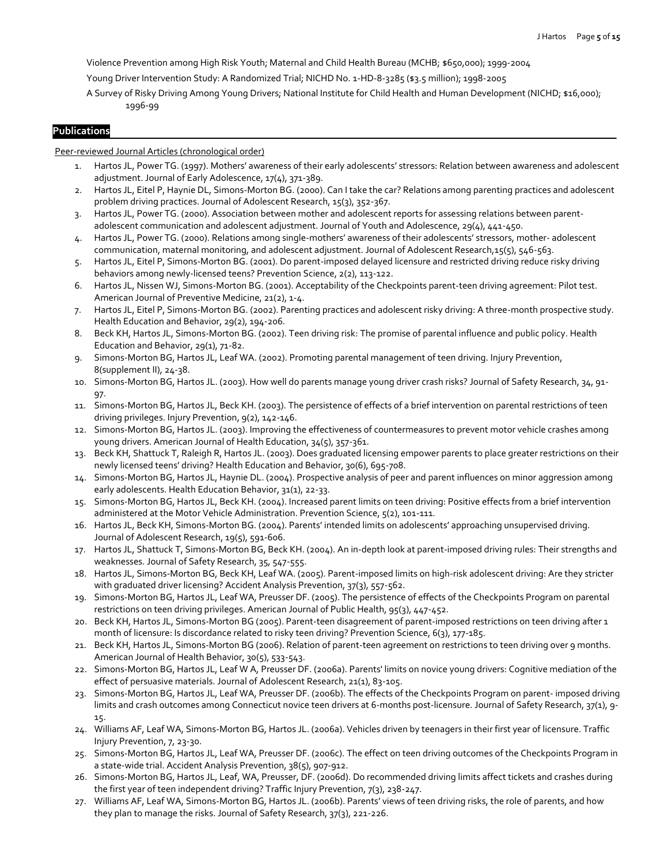Violence Prevention among High Risk Youth; Maternal and Child Health Bureau (MCHB; \$650,000); 1999-2004

Young Driver Intervention Study: A Randomized Trial; NICHD No. 1-HD-8-3285 (\$3.5 million); 1998-2005

A Survey of Risky Driving Among Young Drivers; National Institute for Child Health and Human Development (NICHD; \$16,000); 1996-99

# **Publications**

#### Peer-reviewed Journal Articles (chronological order)

- 1. Hartos JL, Power TG. (1997). Mothers' awareness of their early adolescents' stressors: Relation between awareness and adolescent adjustment. Journal of Early Adolescence, 17(4), 371-389.
- 2. Hartos JL, Eitel P, Haynie DL, Simons-Morton BG. (2000). Can I take the car? Relations among parenting practices and adolescent problem driving practices. Journal of Adolescent Research, 15(3), 352-367.
- 3. Hartos JL, Power TG. (2000). Association between mother and adolescent reports for assessing relations between parentadolescent communication and adolescent adjustment. Journal of Youth and Adolescence, 29(4), 441-450.
- 4. Hartos JL, Power TG. (2000). Relations among single-mothers' awareness of their adolescents' stressors, mother- adolescent communication, maternal monitoring, and adolescent adjustment. Journal of Adolescent Research,15(5), 546-563.
- 5. Hartos JL, Eitel P, Simons-Morton BG. (2001). Do parent-imposed delayed licensure and restricted driving reduce risky driving behaviors among newly-licensed teens? Prevention Science, 2(2), 113-122.
- 6. Hartos JL, Nissen WJ, Simons-Morton BG. (2001). Acceptability of the Checkpoints parent-teen driving agreement: Pilot test. American Journal of Preventive Medicine, 21(2), 1-4.
- 7. Hartos JL, Eitel P, Simons-Morton BG. (2002). Parenting practices and adolescent risky driving: A three-month prospective study. Health Education and Behavior, 29(2), 194-206.
- 8. Beck KH, Hartos JL, Simons-Morton BG. (2002). Teen driving risk: The promise of parental influence and public policy. Health Education and Behavior, 29(1), 71-82.
- 9. Simons-Morton BG, Hartos JL, Leaf WA. (2002). Promoting parental management of teen driving. Injury Prevention, 8(supplement II), 24-38.
- 10. Simons-Morton BG, Hartos JL. (2003). How well do parents manage young driver crash risks? Journal of Safety Research, 34, 91- 97.
- 11. Simons-Morton BG, Hartos JL, Beck KH. (2003). The persistence of effects of a brief intervention on parental restrictions of teen driving privileges. Injury Prevention, 9(2), 142-146.
- 12. Simons-Morton BG, Hartos JL. (2003). Improving the effectiveness of countermeasures to prevent motor vehicle crashes among young drivers. American Journal of Health Education, 34(5), 357-361.
- 13. Beck KH, Shattuck T, Raleigh R, Hartos JL. (2003). Does graduated licensing empower parents to place greater restrictions on their newly licensed teens' driving? Health Education and Behavior, 30(6), 695-708.
- 14. Simons-Morton BG, Hartos JL, Haynie DL. (2004). Prospective analysis of peer and parent influences on minor aggression among early adolescents. Health Education Behavior, 31(1), 22-33.
- 15. Simons-Morton BG, Hartos JL, Beck KH. (2004). Increased parent limits on teen driving: Positive effects from a brief intervention administered at the Motor Vehicle Administration. Prevention Science, 5(2), 101-111.
- 16. Hartos JL, Beck KH, Simons-Morton BG. (2004). Parents' intended limits on adolescents' approaching unsupervised driving. Journal of Adolescent Research, 19(5), 591-606.
- 17. Hartos JL, Shattuck T, Simons-Morton BG, Beck KH. (2004). An in-depth look at parent-imposed driving rules: Their strengths and weaknesses. Journal of Safety Research, 35, 547-555.
- 18. Hartos JL, Simons-Morton BG, Beck KH, Leaf WA. (2005). Parent-imposed limits on high-risk adolescent driving: Are they stricter with graduated driver licensing? Accident Analysis Prevention, 37(3), 557-562.
- 19. Simons-Morton BG, Hartos JL, Leaf WA, Preusser DF. (2005). The persistence of effects of the Checkpoints Program on parental restrictions on teen driving privileges. American Journal of Public Health, 95(3), 447-452.
- 20. Beck KH, Hartos JL, Simons-Morton BG (2005). Parent-teen disagreement of parent-imposed restrictions on teen driving after 1 month of licensure: Is discordance related to risky teen driving? Prevention Science, 6(3), 177-185.
- 21. Beck KH, Hartos JL, Simons-Morton BG (2006). Relation of parent-teen agreement on restrictions to teen driving over 9 months. American Journal of Health Behavior, 30(5), 533-543.
- 22. Simons-Morton BG, Hartos JL, Leaf W A, Preusser DF. (2006a). Parents' limits on novice young drivers: Cognitive mediation of the effect of persuasive materials. Journal of Adolescent Research, 21(1), 83-105.
- 23. Simons-Morton BG, Hartos JL, Leaf WA, Preusser DF. (2006b). The effects of the Checkpoints Program on parent- imposed driving limits and crash outcomes among Connecticut novice teen drivers at 6-months post-licensure. Journal of Safety Research, 37(1), 9-15.
- 24. Williams AF, Leaf WA, Simons-Morton BG, Hartos JL. (2006a). Vehicles driven by teenagers in their first year of licensure. Traffic Injury Prevention, 7, 23-30.
- 25. Simons-Morton BG, Hartos JL, Leaf WA, Preusser DF. (2006c). The effect on teen driving outcomes of the Checkpoints Program in a state-wide trial. Accident Analysis Prevention, 38(5), 907-912.
- 26. Simons-Morton BG, Hartos JL, Leaf, WA, Preusser, DF. (2006d). Do recommended driving limits affect tickets and crashes during the first year of teen independent driving? Traffic Injury Prevention, 7(3), 238-247.
- 27. Williams AF, Leaf WA, Simons-Morton BG, Hartos JL. (2006b). Parents' views of teen driving risks, the role of parents, and how they plan to manage the risks. Journal of Safety Research, 37(3), 221-226.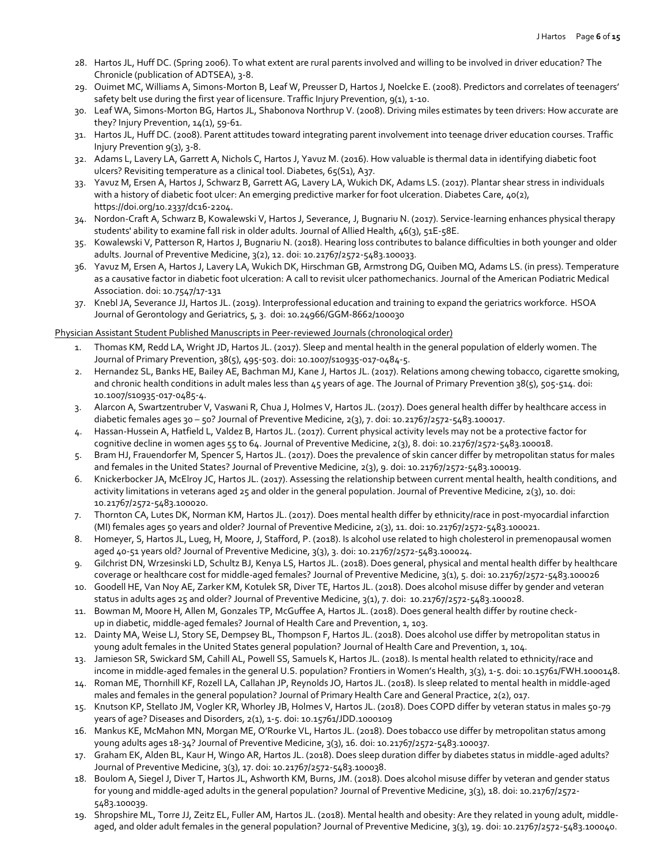- 28. Hartos JL, Huff DC. (Spring 2006). To what extent are rural parents involved and willing to be involved in driver education? The Chronicle (publication of ADTSEA), 3-8.
- 29. Ouimet MC, Williams A, Simons-Morton B, Leaf W, Preusser D, Hartos J, Noelcke E. (2008). Predictors and correlates of teenagers' safety belt use during the first year of licensure. Traffic Injury Prevention, 9(1), 1-10.
- 30. Leaf WA, Simons-Morton BG, Hartos JL, Shabonova Northrup V. (2008). Driving miles estimates by teen drivers: How accurate are they? Injury Prevention, 14(1), 59-61.
- 31. Hartos JL, Huff DC. (2008). Parent attitudes toward integrating parent involvement into teenage driver education courses. Traffic Injury Prevention 9(3), 3-8.
- 32. Adams L, Lavery LA, Garrett A, Nichols C, Hartos J, Yavuz M. (2016). How valuable is thermal data in identifying diabetic foot ulcers? Revisiting temperature as a clinical tool. Diabetes, 65(S1), A37.
- 33. Yavuz M, Ersen A, Hartos J, Schwarz B, Garrett AG, Lavery LA, Wukich DK, Adams LS. (2017). Plantar shear stress in individuals with a history of diabetic foot ulcer: An emerging predictive marker for foot ulceration. Diabetes Care, 40(2), https://doi.org/10.2337/dc16-2204.
- 34. Nordon-Craft A, Schwarz B, Kowalewski V, Hartos J, Severance, J, Bugnariu N. (2017). Service-learning enhances physical therapy students' ability to examine fall risk in older adults. Journal of Allied Health, 46(3), 51E-58E.
- 35. Kowalewski V, Patterson R, Hartos J, Bugnariu N. (2018). Hearing loss contributes to balance difficulties in both younger and older adults. Journal of Preventive Medicine, 3(2), 12. doi: 10.21767/2572-5483.100033.
- 36. Yavuz M, Ersen A, Hartos J, Lavery LA, Wukich DK, Hirschman GB, Armstrong DG, Quiben MQ, Adams LS. (in press). Temperature as a causative factor in diabetic foot ulceration: A call to revisit ulcer pathomechanics. Journal of the American Podiatric Medical Association. doi: 10.7547/17-131
- 37. Knebl JA, Severance JJ, Hartos JL. (2019). Interprofessional education and training to expand the geriatrics workforce. HSOA Journal of Gerontology and Geriatrics, 5, 3. doi: 10.24966/GGM-8662/100030

#### Physician Assistant Student Published Manuscripts in Peer-reviewed Journals (chronological order)

- 1. Thomas KM, Redd LA, Wright JD, Hartos JL. (2017). Sleep and mental health in the general population of elderly women. The Journal of Primary Prevention, 38(5), 495-503. doi: 10.1007/s10935-017-0484-5.
- 2. Hernandez SL, Banks HE, Bailey AE, Bachman MJ, Kane J, Hartos JL. (2017). Relations among chewing tobacco, cigarette smoking, and chronic health conditions in adult males less than 45 years of age. The Journal of Primary Prevention 38(5), 505-514. doi: 10.1007/s10935-017-0485-4.
- 3. Alarcon A, Swartzentruber V, Vaswani R, Chua J, Holmes V, Hartos JL. (2017). Does general health differ by healthcare access in diabetic females ages 30 – 50? Journal of Preventive Medicine, 2(3), 7. doi: 10.21767/2572-5483.100017.
- 4. Hassan-Hussein A, Hatfield L, Valdez B, Hartos JL. (2017). Current physical activity levels may not be a protective factor for cognitive decline in women ages 55 to 64. Journal of Preventive Medicine, 2(3), 8. doi: 10.21767/2572-5483.100018.
- 5. Bram HJ, Frauendorfer M, Spencer S, Hartos JL. (2017). Does the prevalence of skin cancer differ by metropolitan status for males and females in the United States? Journal of Preventive Medicine, 2(3), 9. doi: 10.21767/2572-5483.100019.
- 6. Knickerbocker JA, McElroy JC, Hartos JL. (2017). Assessing the relationship between current mental health, health conditions, and activity limitations in veterans aged 25 and older in the general population. Journal of Preventive Medicine, 2(3), 10. doi: 10.21767/2572-5483.100020.
- 7. Thornton CA, Lutes DK, Norman KM, Hartos JL. (2017). Does mental health differ by ethnicity/race in post-myocardial infarction (MI) females ages 50 years and older? Journal of Preventive Medicine, 2(3), 11. doi: 10.21767/2572-5483.100021.
- 8. Homeyer, S, Hartos JL, Lueg, H, Moore, J, Stafford, P. (2018). Is alcohol use related to high cholesterol in premenopausal women aged 40-51 years old? Journal of Preventive Medicine, 3(3), 3. doi: 10.21767/2572-5483.100024.
- 9. Gilchrist DN, Wrzesinski LD, Schultz BJ, Kenya LS, Hartos JL. (2018). Does general, physical and mental health differ by healthcare coverage or healthcare cost for middle-aged females? Journal of Preventive Medicine, 3(1), 5. doi: 10.21767/2572-5483.100026
- 10. Goodell HE, Van Noy AE, Zarker KM, Kotulek SR, Diver TE, Hartos JL. (2018). Does alcohol misuse differ by gender and veteran status in adults ages 25 and older? Journal of Preventive Medicine, 3(1), 7. doi: 10.21767/2572-5483.100028.
- 11. Bowman M, Moore H, Allen M, Gonzales TP, McGuffee A, Hartos JL. (2018). Does general health differ by routine checkup in diabetic, middle-aged females? Journal of Health Care and Prevention, 1, 103.
- 12. Dainty MA, Weise LJ, Story SE, Dempsey BL, Thompson F, Hartos JL. (2018). Does alcohol use differ by metropolitan status in young adult females in the United States general population? Journal of Health Care and Prevention, 1, 104.
- 13. Jamieson SR, Swickard SM, Cahill AL, Powell SS, Samuels K, Hartos JL. (2018). Is mental health related to ethnicity/race and income in middle-aged females in the general U.S. population? Frontiers in Women's Health, 3(3), 1-5. doi: 10.15761/FWH.1000148.
- 14. Roman ME, Thornhill KF, Rozell LA, Callahan JP, Reynolds JO, Hartos JL. (2018). Is sleep related to mental health in middle-aged males and females in the general population? Journal of Primary Health Care and General Practice, 2(2), 017.
- 15. Knutson KP, Stellato JM, Vogler KR, Whorley JB, Holmes V, Hartos JL. (2018). Does COPD differ by veteran status in males 50-79 years of age? Diseases and Disorders, 2(1), 1-5. doi: 10.15761/JDD.1000109
- 16. Mankus KE, McMahon MN, Morgan ME, O'Rourke VL, Hartos JL. (2018). Does tobacco use differ by metropolitan status among young adults ages 18-34? Journal of Preventive Medicine, 3(3), 16. doi: 10.21767/2572-5483.100037.
- 17. Graham EK, Alden BL, Kaur H, Wingo AR, Hartos JL. (2018). Does sleep duration differ by diabetes status in middle-aged adults? Journal of Preventive Medicine, 3(3), 17. doi: 10.21767/2572-5483.100038.
- 18. Boulom A, Siegel J, Diver T, Hartos JL, Ashworth KM, Burns, JM. (2018). Does alcohol misuse differ by veteran and gender status for young and middle-aged adults in the general population? Journal of Preventive Medicine, 3(3), 18. doi: 10.21767/2572- 5483.100039.
- 19. Shropshire ML, Torre JJ, Zeitz EL, Fuller AM, Hartos JL. (2018). Mental health and obesity: Are they related in young adult, middleaged, and older adult females in the general population? Journal of Preventive Medicine, 3(3), 19. doi: 10.21767/2572-5483.100040.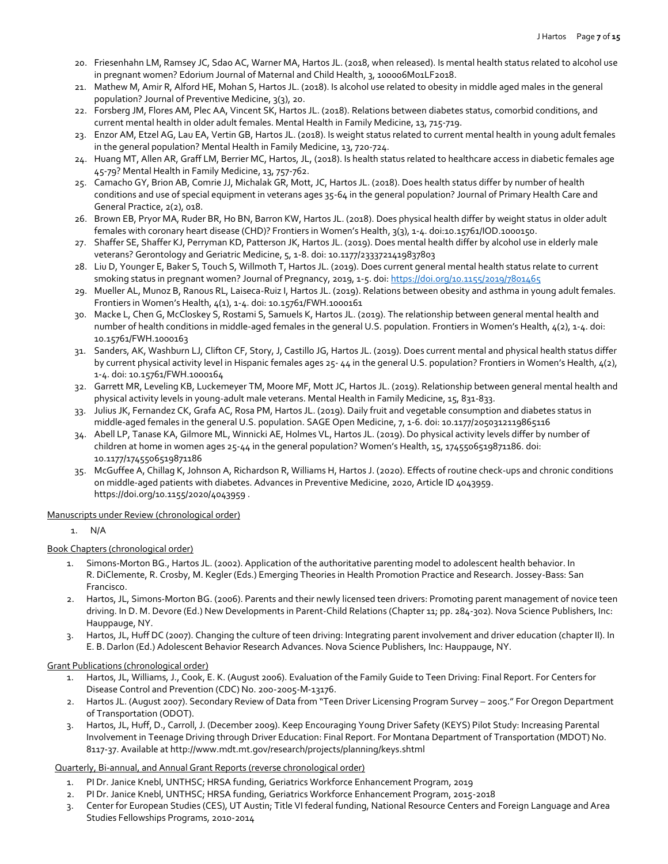- 20. Friesenhahn LM, Ramsey JC, Sdao AC, Warner MA, Hartos JL. (2018, when released). Is mental health status related to alcohol use in pregnant women? Edorium Journal of Maternal and Child Health, 3, 100006M01LF2018.
- 21. Mathew M, Amir R, Alford HE, Mohan S, Hartos JL. (2018). Is alcohol use related to obesity in middle aged males in the general population? Journal of Preventive Medicine, 3(3), 20.
- 22. Forsberg JM, Flores AM, Plec AA, Vincent SK, Hartos JL. (2018). Relations between diabetes status, comorbid conditions, and current mental health in older adult females. Mental Health in Family Medicine, 13, 715-719.
- 23. Enzor AM, Etzel AG, Lau EA, Vertin GB, Hartos JL. (2018). Is weight status related to current mental health in young adult females in the general population? Mental Health in Family Medicine, 13, 720-724.
- 24. Huang MT, Allen AR, Graff LM, Berrier MC, Hartos, JL, (2018). Is health status related to healthcare access in diabetic females age 45-79? Mental Health in Family Medicine, 13, 757-762.
- 25. Camacho GY, Brion AB, Comrie JJ, Michalak GR, Mott, JC, Hartos JL. (2018). Does health status differ by number of health conditions and use of special equipment in veterans ages 35-64 in the general population? Journal of Primary Health Care and General Practice, 2(2), 018.
- 26. Brown EB, Pryor MA, Ruder BR, Ho BN, Barron KW, Hartos JL. (2018). Does physical health differ by weight status in older adult females with coronary heart disease (CHD)? Frontiers in Women's Health, 3(3), 1-4. doi:10.15761/IOD.1000150.
- 27. Shaffer SE, Shaffer KJ, Perryman KD, Patterson JK, Hartos JL. (2019). Does mental health differ by alcohol use in elderly male veterans? Gerontology and Geriatric Medicine, 5, 1-8. doi: 10.1177/2333721419837803
- 28. Liu D, Younger E, Baker S, Touch S, Willmoth T, Hartos JL. (2019). Does current general mental health status relate to current smoking status in pregnant women? Journal of Pregnancy, 2019, 1-5. doi[: https://doi.org/10.1155/2019/7801465](https://doi.org/10.1155/2019/7801465)
- 29. Mueller AL, Munoz B, Ranous RL, Laiseca-Ruiz I, Hartos JL. (2019). Relations between obesity and asthma in young adult females. Frontiers in Women's Health, 4(1), 1-4. doi: 10.15761/FWH.1000161
- 30. Macke L, Chen G, McCloskey S, Rostami S, Samuels K, Hartos JL. (2019). The relationship between general mental health and number of health conditions in middle-aged females in the general U.S. population. Frontiers in Women's Health, 4(2), 1-4. doi: 10.15761/FWH.1000163
- 31. Sanders, AK, Washburn LJ, Clifton CF, Story, J, Castillo JG, Hartos JL. (2019). Does current mental and physical health status differ by current physical activity level in Hispanic females ages 25- 44 in the general U.S. population? Frontiers in Women's Health, 4(2), 1-4. doi: 10.15761/FWH.1000164
- 32. Garrett MR, Leveling KB, Luckemeyer TM, Moore MF, Mott JC, Hartos JL. (2019). Relationship between general mental health and physical activity levels in young-adult male veterans. Mental Health in Family Medicine, 15, 831-833.
- 33. Julius JK, Fernandez CK, Grafa AC, Rosa PM, Hartos JL. (2019). Daily fruit and vegetable consumption and diabetes status in middle-aged females in the general U.S. population. SAGE Open Medicine, 7, 1-6. doi: 10.1177/2050312119865116
- 34. Abell LP, Tanase KA, Gilmore ML, Winnicki AE, Holmes VL, Hartos JL. (2019). Do physical activity levels differ by number of children at home in women ages 25-44 in the general population? Women's Health, 15, 1745506519871186. doi: 10.1177/1745506519871186
- 35. McGuffee A, Chillag K, Johnson A, Richardson R, Williams H, Hartos J. (2020). Effects of routine check-ups and chronic conditions on middle-aged patients with diabetes. Advances in Preventive Medicine, 2020, Article ID 4043959. https://doi.org/10.1155/2020/4043959 .

#### Manuscripts under Review (chronological order)

1. N/A

# Book Chapters (chronological order)

- 1. Simons-Morton BG., Hartos JL. (2002). Application of the authoritative parenting model to adolescent health behavior. In R. DiClemente, R. Crosby, M. Kegler (Eds.) Emerging Theories in Health Promotion Practice and Research. Jossey-Bass: San Francisco.
- 2. Hartos, JL, Simons-Morton BG. (2006). Parents and their newly licensed teen drivers: Promoting parent management of novice teen driving. In D. M. Devore (Ed.) New Developments in Parent-Child Relations (Chapter 11; pp. 284-302). Nova Science Publishers, Inc: Hauppauge, NY.
- 3. Hartos, JL, Huff DC (2007). Changing the culture of teen driving: Integrating parent involvement and driver education (chapter II). In E. B. Darlon (Ed.) Adolescent Behavior Research Advances. Nova Science Publishers, Inc: Hauppauge, NY.

#### Grant Publications (chronological order)

- 1. Hartos, JL, Williams, J., Cook, E. K. (August 2006). Evaluation of the Family Guide to Teen Driving: Final Report. For Centers for Disease Control and Prevention (CDC) No. 200-2005-M-13176.
- 2. Hartos JL. (August 2007). Secondary Review of Data from "Teen Driver Licensing Program Survey 2005." For Oregon Department of Transportation (ODOT).
- 3. Hartos, JL, Huff, D., Carroll, J. (December 2009). Keep Encouraging Young Driver Safety (KEYS) Pilot Study: Increasing Parental Involvement in Teenage Driving through Driver Education: Final Report. For Montana Department of Transportation (MDOT) No. 8117-37. Available at http://www.mdt.mt.gov/research/projects/planning/keys.shtml

#### Quarterly, Bi-annual, and Annual Grant Reports (reverse chronological order)

- 1. PI Dr. Janice Knebl, UNTHSC; HRSA funding, Geriatrics Workforce Enhancement Program, 2019
- 2. PI Dr. Janice Knebl, UNTHSC; HRSA funding, Geriatrics Workforce Enhancement Program, 2015-2018
- 3. Center for European Studies (CES), UT Austin; Title VI federal funding, National Resource Centers and Foreign Language and Area Studies Fellowships Programs, 2010-2014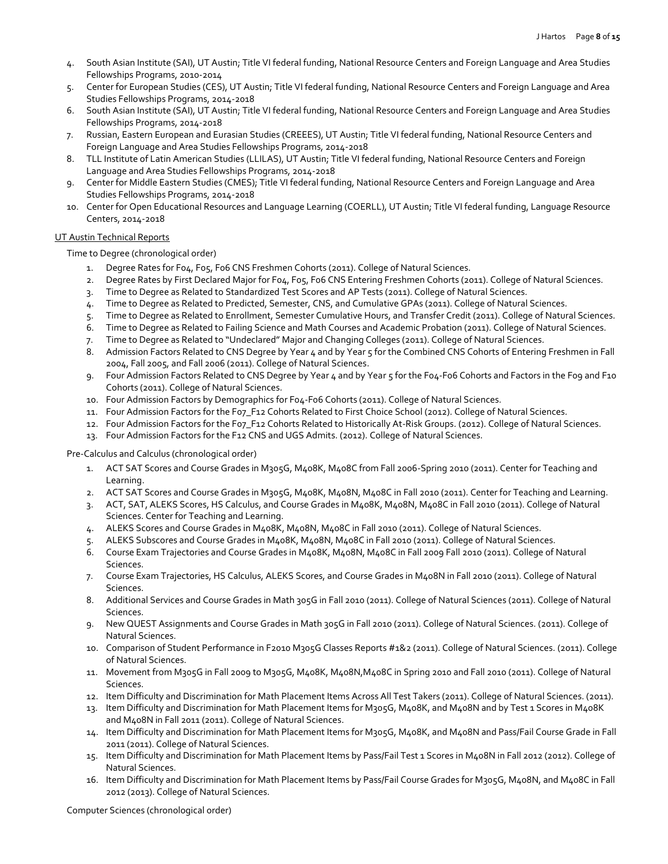- 4. South Asian Institute (SAI), UT Austin; Title VI federal funding, National Resource Centers and Foreign Language and Area Studies Fellowships Programs, 2010-2014
- 5. Center for European Studies (CES), UT Austin; Title VI federal funding, National Resource Centers and Foreign Language and Area Studies Fellowships Programs, 2014-2018
- 6. South Asian Institute (SAI), UT Austin; Title VI federal funding, National Resource Centers and Foreign Language and Area Studies Fellowships Programs, 2014-2018
- 7. Russian, Eastern European and Eurasian Studies (CREEES), UT Austin; Title VI federal funding, National Resource Centers and Foreign Language and Area Studies Fellowships Programs, 2014-2018
- 8. TLL Institute of Latin American Studies (LLILAS), UT Austin; Title VI federal funding, National Resource Centers and Foreign Language and Area Studies Fellowships Programs, 2014-2018
- 9. Center for Middle Eastern Studies (CMES); Title VI federal funding, National Resource Centers and Foreign Language and Area Studies Fellowships Programs, 2014-2018
- 10. Center for Open Educational Resources and Language Learning (COERLL), UT Austin; Title VI federal funding, Language Resource Centers, 2014-2018

#### UT Austin Technical Reports

Time to Degree (chronological order)

- 1. Degree Rates for F04, F05, F06 CNS Freshmen Cohorts (2011). College of Natural Sciences.
- 2. Degree Rates by First Declared Major for Fo4, Fo5, Fo6 CNS Entering Freshmen Cohorts (2011). College of Natural Sciences.
- 3. Time to Degree as Related to Standardized Test Scores and AP Tests (2011). College of Natural Sciences.
- 4. Time to Degree as Related to Predicted, Semester, CNS, and Cumulative GPAs (2011). College of Natural Sciences.
- 5. Time to Degree as Related to Enrollment, Semester Cumulative Hours, and Transfer Credit (2011). College of Natural Sciences.
- 6. Time to Degree as Related to Failing Science and Math Courses and Academic Probation (2011). College of Natural Sciences.
- 7. Time to Degree as Related to "Undeclared" Major and Changing Colleges (2011). College of Natural Sciences.
- 8. Admission Factors Related to CNS Degree by Year 4 and by Year 5 for the Combined CNS Cohorts of Entering Freshmen in Fall 2004, Fall 2005, and Fall 2006 (2011). College of Natural Sciences.
- 9. Four Admission Factors Related to CNS Degree by Year 4 and by Year 5 for the F04-F06 Cohorts and Factors in the F09 and F10 Cohorts (2011). College of Natural Sciences.
- 10. Four Admission Factors by Demographics for F04-F06 Cohorts (2011). College of Natural Sciences.
- 11. Four Admission Factors for the F07\_F12 Cohorts Related to First Choice School (2012). College of Natural Sciences.
- 12. Four Admission Factors for the F07\_F12 Cohorts Related to Historically At-Risk Groups. (2012). College of Natural Sciences.
- 13. Four Admission Factors for the F12 CNS and UGS Admits. (2012). College of Natural Sciences.

Pre-Calculus and Calculus (chronological order)

- 1. ACT SAT Scores and Course Grades in M305G, M408K, M408C from Fall 2006-Spring 2010 (2011). Center for Teaching and Learning.
- 2. ACT SAT Scores and Course Grades in M305G, M408K, M408N, M408C in Fall 2010 (2011). Center for Teaching and Learning.
- 3. ACT, SAT, ALEKS Scores, HS Calculus, and Course Grades in M408K, M408N, M408C in Fall 2010 (2011). College of Natural Sciences. Center for Teaching and Learning.
- 4. ALEKS Scores and Course Grades in M408K, M408N, M408C in Fall 2010 (2011). College of Natural Sciences.
- 5. ALEKS Subscores and Course Grades in M408K, M408N, M408C in Fall 2010 (2011). College of Natural Sciences.
- 6. Course Exam Trajectories and Course Grades in M408K, M408N, M408C in Fall 2009 Fall 2010 (2011). College of Natural Sciences.
- 7. Course Exam Trajectories, HS Calculus, ALEKS Scores, and Course Grades in M408N in Fall 2010 (2011). College of Natural Sciences.
- 8. Additional Services and Course Grades in Math 305G in Fall 2010 (2011). College of Natural Sciences (2011). College of Natural Sciences.
- 9. New QUEST Assignments and Course Grades in Math 305G in Fall 2010 (2011). College of Natural Sciences. (2011). College of Natural Sciences.
- 10. Comparison of Student Performance in F2010 M305G Classes Reports #1&2 (2011). College of Natural Sciences. (2011). College of Natural Sciences.
- 11. Movement from M305G in Fall 2009 to M305G, M408K, M408N,M408C in Spring 2010 and Fall 2010 (2011). College of Natural Sciences.
- 12. Item Difficulty and Discrimination for Math Placement Items Across All Test Takers (2011). College of Natural Sciences. (2011).
- 13. Item Difficulty and Discrimination for Math Placement Items for M305G, M408K, and M408N and by Test 1 Scores in M408K and M408N in Fall 2011 (2011). College of Natural Sciences.
- 14. Item Difficulty and Discrimination for Math Placement Items for M305G, M408K, and M408N and Pass/Fail Course Grade in Fall 2011 (2011). College of Natural Sciences.
- 15. Item Difficulty and Discrimination for Math Placement Items by Pass/Fail Test 1 Scores in M408N in Fall 2012 (2012). College of Natural Sciences.
- 16. Item Difficulty and Discrimination for Math Placement Items by Pass/Fail Course Grades for M305G, M408N, and M408C in Fall 2012 (2013). College of Natural Sciences.

Computer Sciences (chronological order)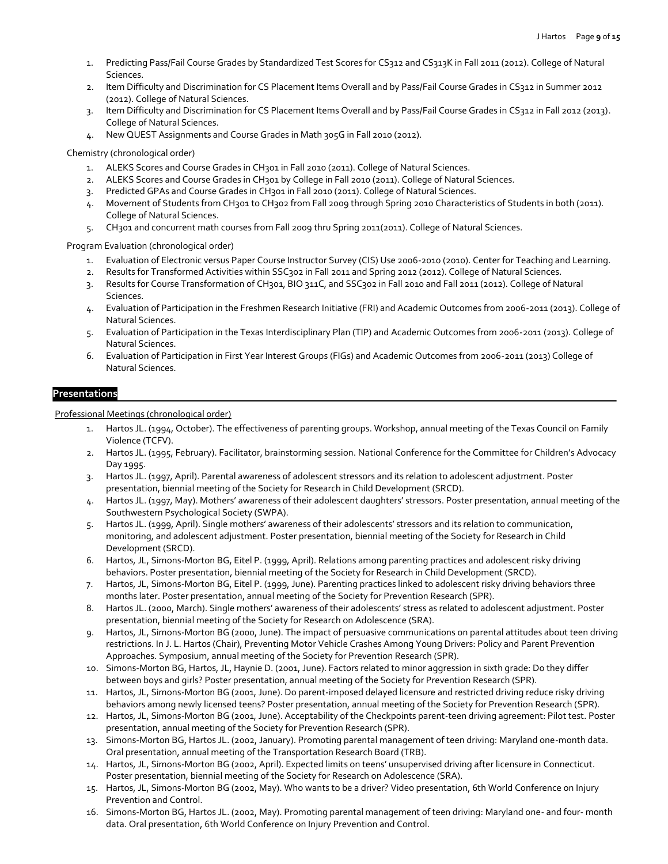- 1. Predicting Pass/Fail Course Grades by Standardized Test Scores for CS312 and CS313K in Fall 2011 (2012). College of Natural Sciences.
- 2. Item Difficulty and Discrimination for CS Placement Items Overall and by Pass/Fail Course Grades in CS312 in Summer 2012 (2012). College of Natural Sciences.
- 3. Item Difficulty and Discrimination for CS Placement Items Overall and by Pass/Fail Course Grades in CS312 in Fall 2012 (2013). College of Natural Sciences.
- 4. New QUEST Assignments and Course Grades in Math 305G in Fall 2010 (2012).

Chemistry (chronological order)

- 1. ALEKS Scores and Course Grades in CH301 in Fall 2010 (2011). College of Natural Sciences.
- 2. ALEKS Scores and Course Grades in CH301 by College in Fall 2010 (2011). College of Natural Sciences.
- 3. Predicted GPAs and Course Grades in CH301 in Fall 2010 (2011). College of Natural Sciences.
- 4. Movement of Students from CH301 to CH302 from Fall 2009 through Spring 2010 Characteristics of Students in both (2011). College of Natural Sciences.
- 5. CH301 and concurrent math courses from Fall 2009 thru Spring 2011(2011). College of Natural Sciences.

Program Evaluation (chronological order)

- 1. Evaluation of Electronic versus Paper Course Instructor Survey (CIS) Use 2006-2010 (2010). Center for Teaching and Learning.
- 2. Results for Transformed Activities within SSC302 in Fall 2011 and Spring 2012 (2012). College of Natural Sciences.
- 3. Results for Course Transformation of CH301, BIO 311C, and SSC302 in Fall 2010 and Fall 2011 (2012). College of Natural Sciences.
- 4. Evaluation of Participation in the Freshmen Research Initiative (FRI) and Academic Outcomes from 2006-2011 (2013). College of Natural Sciences.
- 5. Evaluation of Participation in the Texas Interdisciplinary Plan (TIP) and Academic Outcomes from 2006-2011 (2013). College of Natural Sciences.
- 6. Evaluation of Participation in First Year Interest Groups (FIGs) and Academic Outcomes from 2006-2011 (2013) College of Natural Sciences.

# **Presentations**

Professional Meetings (chronological order)

- 1. Hartos JL. (1994, October). The effectiveness of parenting groups. Workshop, annual meeting of the Texas Council on Family Violence (TCFV).
- 2. Hartos JL. (1995, February). Facilitator, brainstorming session. National Conference for the Committee for Children's Advocacy Day 1995.
- 3. Hartos JL. (1997, April). Parental awareness of adolescent stressors and its relation to adolescent adjustment. Poster presentation, biennial meeting of the Society for Research in Child Development (SRCD).
- 4. Hartos JL. (1997, May). Mothers' awareness of their adolescent daughters' stressors. Poster presentation, annual meeting of the Southwestern Psychological Society (SWPA).
- 5. Hartos JL. (1999, April). Single mothers' awareness of their adolescents' stressors and its relation to communication, monitoring, and adolescent adjustment. Poster presentation, biennial meeting of the Society for Research in Child Development (SRCD).
- 6. Hartos, JL, Simons-Morton BG, Eitel P. (1999, April). Relations among parenting practices and adolescent risky driving behaviors. Poster presentation, biennial meeting of the Society for Research in Child Development (SRCD).
- 7. Hartos, JL, Simons-Morton BG, Eitel P. (1999, June). Parenting practices linked to adolescent risky driving behaviors three months later. Poster presentation, annual meeting of the Society for Prevention Research (SPR).
- 8. Hartos JL. (2000, March). Single mothers' awareness of their adolescents' stress as related to adolescent adjustment. Poster presentation, biennial meeting of the Society for Research on Adolescence (SRA).
- 9. Hartos, JL, Simons-Morton BG (2000, June). The impact of persuasive communications on parental attitudes about teen driving restrictions. In J. L. Hartos (Chair), Preventing Motor Vehicle Crashes Among Young Drivers: Policy and Parent Prevention Approaches. Symposium, annual meeting of the Society for Prevention Research (SPR).
- 10. Simons-Morton BG, Hartos, JL, Haynie D. (2001, June). Factors related to minor aggression in sixth grade: Do they differ between boys and girls? Poster presentation, annual meeting of the Society for Prevention Research (SPR).
- 11. Hartos, JL, Simons-Morton BG (2001, June). Do parent-imposed delayed licensure and restricted driving reduce risky driving behaviors among newly licensed teens? Poster presentation, annual meeting of the Society for Prevention Research (SPR).
- 12. Hartos, JL, Simons-Morton BG (2001, June). Acceptability of the Checkpoints parent-teen driving agreement: Pilot test. Poster presentation, annual meeting of the Society for Prevention Research (SPR).
- 13. Simons-Morton BG, Hartos JL. (2002, January). Promoting parental management of teen driving: Maryland one-month data. Oral presentation, annual meeting of the Transportation Research Board (TRB).
- 14. Hartos, JL, Simons-Morton BG (2002, April). Expected limits on teens' unsupervised driving after licensure in Connecticut. Poster presentation, biennial meeting of the Society for Research on Adolescence (SRA).
- 15. Hartos, JL, Simons-Morton BG (2002, May). Who wants to be a driver? Video presentation, 6th World Conference on Injury Prevention and Control.
- 16. Simons-Morton BG, Hartos JL. (2002, May). Promoting parental management of teen driving: Maryland one- and four- month data. Oral presentation, 6th World Conference on Injury Prevention and Control.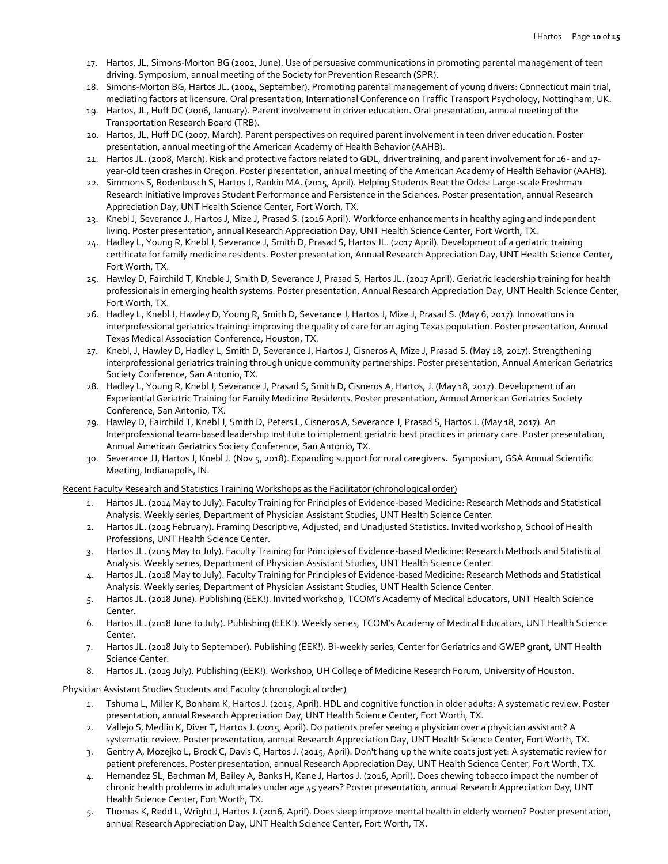- 17. Hartos, JL, Simons-Morton BG (2002, June). Use of persuasive communications in promoting parental management of teen driving. Symposium, annual meeting of the Society for Prevention Research (SPR).
- 18. Simons-Morton BG, Hartos JL. (2004, September). Promoting parental management of young drivers: Connecticut main trial, mediating factors at licensure. Oral presentation, International Conference on Traffic Transport Psychology, Nottingham, UK.
- 19. Hartos, JL, Huff DC (2006, January). Parent involvement in driver education. Oral presentation, annual meeting of the Transportation Research Board (TRB).
- 20. Hartos, JL, Huff DC (2007, March). Parent perspectives on required parent involvement in teen driver education. Poster presentation, annual meeting of the American Academy of Health Behavior (AAHB).
- 21. Hartos JL. (2008, March). Risk and protective factors related to GDL, driver training, and parent involvement for 16- and 17 year-old teen crashes in Oregon. Poster presentation, annual meeting of the American Academy of Health Behavior (AAHB).
- 22. Simmons S, Rodenbusch S, Hartos J, Rankin MA. (2015, April). Helping Students Beat the Odds: Large-scale Freshman Research Initiative Improves Student Performance and Persistence in the Sciences. Poster presentation, annual Research Appreciation Day, UNT Health Science Center, Fort Worth, TX.
- 23. Knebl J, Severance J., Hartos J, Mize J, Prasad S. (2016 April). Workforce enhancements in healthy aging and independent living. Poster presentation, annual Research Appreciation Day, UNT Health Science Center, Fort Worth, TX.
- 24. Hadley L, Young R, Knebl J, Severance J, Smith D, Prasad S, Hartos JL. (2017 April). Development of a geriatric training certificate for family medicine residents. Poster presentation, Annual Research Appreciation Day, UNT Health Science Center, Fort Worth, TX.
- 25. Hawley D, Fairchild T, Kneble J, Smith D, Severance J, Prasad S, Hartos JL. (2017 April). Geriatric leadership training for health professionals in emerging health systems. Poster presentation, Annual Research Appreciation Day, UNT Health Science Center, Fort Worth, TX.
- 26. Hadley L, Knebl J, Hawley D, Young R, Smith D, Severance J, Hartos J, Mize J, Prasad S. (May 6, 2017). Innovations in interprofessional geriatrics training: improving the quality of care for an aging Texas population. Poster presentation, Annual Texas Medical Association Conference, Houston, TX.
- 27. Knebl, J, Hawley D, Hadley L, Smith D, Severance J, Hartos J, Cisneros A, Mize J, Prasad S. (May 18, 2017). Strengthening interprofessional geriatrics training through unique community partnerships. Poster presentation, Annual American Geriatrics Society Conference, San Antonio, TX.
- 28. Hadley L, Young R, Knebl J, Severance J, Prasad S, Smith D, Cisneros A, Hartos, J. (May 18, 2017). Development of an Experiential Geriatric Training for Family Medicine Residents. Poster presentation, Annual American Geriatrics Society Conference, San Antonio, TX.
- 29. Hawley D, Fairchild T, Knebl J, Smith D, Peters L, Cisneros A, Severance J, Prasad S, Hartos J. (May 18, 2017). An Interprofessional team-based leadership institute to implement geriatric best practices in primary care. Poster presentation, Annual American Geriatrics Society Conference, San Antonio, TX.
- 30. Severance JJ, Hartos J, Knebl J. (Nov 5, 2018). Expanding support for rural caregivers**.** Symposium, GSA Annual Scientific Meeting, Indianapolis, IN.

Recent Faculty Research and Statistics Training Workshops as the Facilitator (chronological order)

- 1. Hartos JL. (2014 May to July). Faculty Training for Principles of Evidence-based Medicine: Research Methods and Statistical Analysis. Weekly series, Department of Physician Assistant Studies, UNT Health Science Center.
- 2. Hartos JL. (2015 February). Framing Descriptive, Adjusted, and Unadjusted Statistics. Invited workshop, School of Health Professions, UNT Health Science Center.
- 3. Hartos JL. (2015 May to July). Faculty Training for Principles of Evidence-based Medicine: Research Methods and Statistical Analysis. Weekly series, Department of Physician Assistant Studies, UNT Health Science Center.
- 4. Hartos JL. (2018 May to July). Faculty Training for Principles of Evidence-based Medicine: Research Methods and Statistical Analysis. Weekly series, Department of Physician Assistant Studies, UNT Health Science Center.
- 5. Hartos JL. (2018 June). Publishing (EEK!). Invited workshop, TCOM's Academy of Medical Educators, UNT Health Science Center.
- 6. Hartos JL. (2018 June to July). Publishing (EEK!). Weekly series, TCOM's Academy of Medical Educators, UNT Health Science Center.
- 7. Hartos JL. (2018 July to September). Publishing (EEK!). Bi-weekly series, Center for Geriatrics and GWEP grant, UNT Health Science Center.
- 8. Hartos JL. (2019 July). Publishing (EEK!). Workshop, UH College of Medicine Research Forum, University of Houston.

#### Physician Assistant Studies Students and Faculty (chronological order)

- 1. Tshuma L, Miller K, Bonham K, Hartos J. (2015, April). HDL and cognitive function in older adults: A systematic review. Poster presentation, annual Research Appreciation Day, UNT Health Science Center, Fort Worth, TX.
- 2. Vallejo S, Medlin K, Diver T, Hartos J. (2015, April). Do patients prefer seeing a physician over a physician assistant? A systematic review. Poster presentation, annual Research Appreciation Day, UNT Health Science Center, Fort Worth, TX.
- 3. Gentry A, Mozejko L, Brock C, Davis C, Hartos J. (2015, April). Don't hang up the white coats just yet: A systematic review for patient preferences. Poster presentation, annual Research Appreciation Day, UNT Health Science Center, Fort Worth, TX.
- 4. Hernandez SL, Bachman M, Bailey A, Banks H, Kane J, Hartos J. (2016, April). Does chewing tobacco impact the number of chronic health problems in adult males under age 45 years? Poster presentation, annual Research Appreciation Day, UNT Health Science Center, Fort Worth, TX.
- 5. Thomas K, Redd L, Wright J, Hartos J. (2016, April). Does sleep improve mental health in elderly women? Poster presentation, annual Research Appreciation Day, UNT Health Science Center, Fort Worth, TX.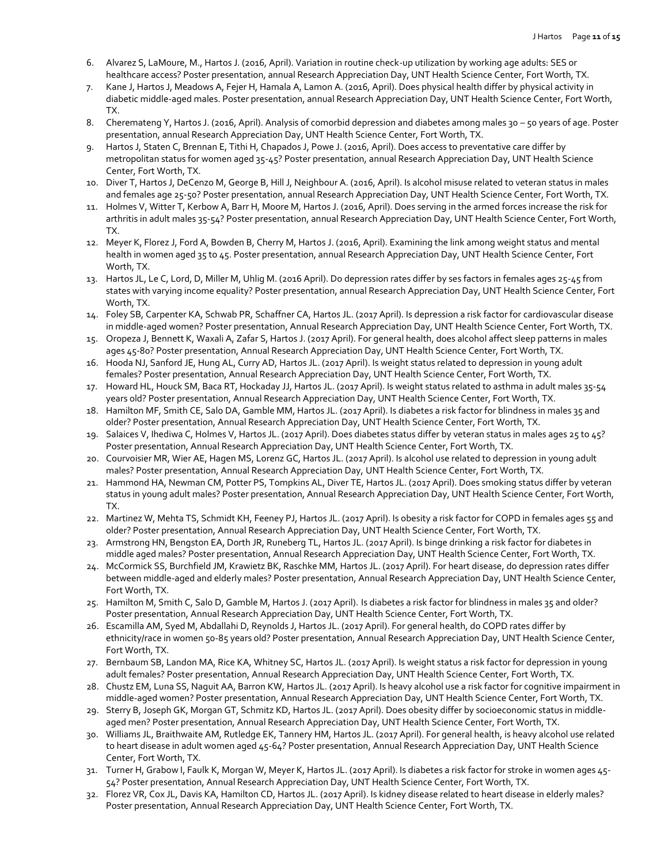- 6. Alvarez S, LaMoure, M., Hartos J. (2016, April). Variation in routine check-up utilization by working age adults: SES or healthcare access? Poster presentation, annual Research Appreciation Day, UNT Health Science Center, Fort Worth, TX.
- 7. Kane J, Hartos J, Meadows A, Fejer H, Hamala A, Lamon A. (2016, April). Does physical health differ by physical activity in diabetic middle-aged males. Poster presentation, annual Research Appreciation Day, UNT Health Science Center, Fort Worth, TX.
- 8. Cheremateng Y, Hartos J. (2016, April). Analysis of comorbid depression and diabetes among males 30 50 years of age. Poster presentation, annual Research Appreciation Day, UNT Health Science Center, Fort Worth, TX.
- 9. Hartos J, Staten C, Brennan E, Tithi H, Chapados J, Powe J. (2016, April). Does access to preventative care differ by metropolitan status for women aged 35-45? Poster presentation, annual Research Appreciation Day, UNT Health Science Center, Fort Worth, TX.
- 10. Diver T, Hartos J, DeCenzo M, George B, Hill J, Neighbour A. (2016, April). Is alcohol misuse related to veteran status in males and females age 25-50? Poster presentation, annual Research Appreciation Day, UNT Health Science Center, Fort Worth, TX.
- 11. Holmes V, Witter T, Kerbow A, Barr H, Moore M, Hartos J. (2016, April). Does serving in the armed forces increase the risk for arthritis in adult males 35-54? Poster presentation, annual Research Appreciation Day, UNT Health Science Center, Fort Worth, TX.
- 12. Meyer K, Florez J, Ford A, Bowden B, Cherry M, Hartos J. (2016, April). Examining the link among weight status and mental health in women aged 35 to 45. Poster presentation, annual Research Appreciation Day, UNT Health Science Center, Fort Worth, TX.
- 13. Hartos JL, Le C, Lord, D, Miller M, Uhlig M. (2016 April). Do depression rates differ by ses factors in females ages 25-45 from states with varying income equality? Poster presentation, annual Research Appreciation Day, UNT Health Science Center, Fort Worth, TX.
- 14. Foley SB, Carpenter KA, Schwab PR, Schaffner CA, Hartos JL. (2017 April). Is depression a risk factor for cardiovascular disease in middle-aged women? Poster presentation, Annual Research Appreciation Day, UNT Health Science Center, Fort Worth, TX.
- 15. Oropeza J, Bennett K, Waxali A, Zafar S, Hartos J. (2017 April). For general health, does alcohol affect sleep patterns in males ages 45-80? Poster presentation, Annual Research Appreciation Day, UNT Health Science Center, Fort Worth, TX.
- 16. Hooda NJ, Sanford JE, Hung AL, Curry AD, Hartos JL. (2017 April). Is weight status related to depression in young adult females? Poster presentation, Annual Research Appreciation Day, UNT Health Science Center, Fort Worth, TX.
- 17. Howard HL, Houck SM, Baca RT, Hockaday JJ, Hartos JL. (2017 April). Is weight status related to asthma in adult males 35-54 years old? Poster presentation, Annual Research Appreciation Day, UNT Health Science Center, Fort Worth, TX.
- 18. Hamilton MF, Smith CE, Salo DA, Gamble MM, Hartos JL. (2017 April). Is diabetes a risk factor for blindness in males 35 and older? Poster presentation, Annual Research Appreciation Day, UNT Health Science Center, Fort Worth, TX.
- 19. Salaices V, Ihediwa C, Holmes V, Hartos JL. (2017 April). Does diabetes status differ by veteran status in males ages 25 to 45? Poster presentation, Annual Research Appreciation Day, UNT Health Science Center, Fort Worth, TX.
- 20. Courvoisier MR, Wier AE, Hagen MS, Lorenz GC, Hartos JL. (2017 April). Is alcohol use related to depression in young adult males? Poster presentation, Annual Research Appreciation Day, UNT Health Science Center, Fort Worth, TX.
- 21. Hammond HA, Newman CM, Potter PS, Tompkins AL, Diver TE, Hartos JL. (2017 April). Does smoking status differ by veteran status in young adult males? Poster presentation, Annual Research Appreciation Day, UNT Health Science Center, Fort Worth, TX.
- 22. Martinez W, Mehta TS, Schmidt KH, Feeney PJ, Hartos JL. (2017 April). Is obesity a risk factor for COPD in females ages 55 and older? Poster presentation, Annual Research Appreciation Day, UNT Health Science Center, Fort Worth, TX.
- 23. Armstrong HN, Bengston EA, Dorth JR, Runeberg TL, Hartos JL. (2017 April). Is binge drinking a risk factor for diabetes in middle aged males? Poster presentation, Annual Research Appreciation Day, UNT Health Science Center, Fort Worth, TX.
- 24. McCormick SS, Burchfield JM, Krawietz BK, Raschke MM, Hartos JL. (2017 April). For heart disease, do depression rates differ between middle-aged and elderly males? Poster presentation, Annual Research Appreciation Day, UNT Health Science Center, Fort Worth, TX.
- 25. Hamilton M, Smith C, Salo D, Gamble M, Hartos J. (2017 April). Is diabetes a risk factor for blindness in males 35 and older? Poster presentation, Annual Research Appreciation Day, UNT Health Science Center, Fort Worth, TX.
- 26. Escamilla AM, Syed M, Abdallahi D, Reynolds J, Hartos JL. (2017 April). For general health, do COPD rates differ by ethnicity/race in women 50-85 years old? Poster presentation, Annual Research Appreciation Day, UNT Health Science Center, Fort Worth, TX.
- 27. Bernbaum SB, Landon MA, Rice KA, Whitney SC, Hartos JL. (2017 April). Is weight status a risk factor for depression in young adult females? Poster presentation, Annual Research Appreciation Day, UNT Health Science Center, Fort Worth, TX.
- 28. Chustz EM, Luna SS, Naguit AA, Barron KW, Hartos JL. (2017 April). Is heavy alcohol use a risk factor for cognitive impairment in middle-aged women? Poster presentation, Annual Research Appreciation Day, UNT Health Science Center, Fort Worth, TX.
- 29. Sterry B, Joseph GK, Morgan GT, Schmitz KD, Hartos JL. (2017 April). Does obesity differ by socioeconomic status in middleaged men? Poster presentation, Annual Research Appreciation Day, UNT Health Science Center, Fort Worth, TX.
- 30. Williams JL, Braithwaite AM, Rutledge EK, Tannery HM, Hartos JL. (2017 April). For general health, is heavy alcohol use related to heart disease in adult women aged 45-64? Poster presentation, Annual Research Appreciation Day, UNT Health Science Center, Fort Worth, TX.
- 31. Turner H, Grabow I, Faulk K, Morgan W, Meyer K, Hartos JL. (2017 April). Is diabetes a risk factor for stroke in women ages 45- 54? Poster presentation, Annual Research Appreciation Day, UNT Health Science Center, Fort Worth, TX.
- 32. Florez VR, Cox JL, Davis KA, Hamilton CD, Hartos JL. (2017 April). Is kidney disease related to heart disease in elderly males? Poster presentation, Annual Research Appreciation Day, UNT Health Science Center, Fort Worth, TX.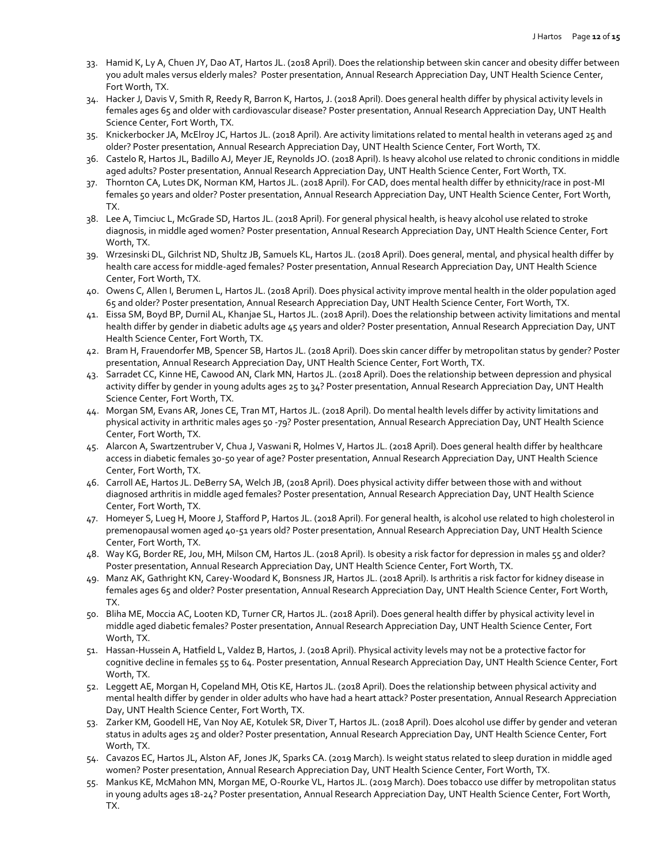- 33. Hamid K, Ly A, Chuen JY, Dao AT, Hartos JL. (2018 April). Does the relationship between skin cancer and obesity differ between you adult males versus elderly males? Poster presentation, Annual Research Appreciation Day, UNT Health Science Center, Fort Worth, TX.
- 34. Hacker J, Davis V, Smith R, Reedy R, Barron K, Hartos, J. (2018 April). Does general health differ by physical activity levels in females ages 65 and older with cardiovascular disease? Poster presentation, Annual Research Appreciation Day, UNT Health Science Center, Fort Worth, TX.
- 35. Knickerbocker JA, McElroy JC, Hartos JL. (2018 April). Are activity limitations related to mental health in veterans aged 25 and older? Poster presentation, Annual Research Appreciation Day, UNT Health Science Center, Fort Worth, TX.
- 36. Castelo R, Hartos JL, Badillo AJ, Meyer JE, Reynolds JO. (2018 April). Is heavy alcohol use related to chronic conditions in middle aged adults? Poster presentation, Annual Research Appreciation Day, UNT Health Science Center, Fort Worth, TX.
- 37. Thornton CA, Lutes DK, Norman KM, Hartos JL. (2018 April). For CAD, does mental health differ by ethnicity/race in post-MI females 50 years and older? Poster presentation, Annual Research Appreciation Day, UNT Health Science Center, Fort Worth, TX.
- 38. Lee A, Timciuc L, McGrade SD, Hartos JL. (2018 April). For general physical health, is heavy alcohol use related to stroke diagnosis, in middle aged women? Poster presentation, Annual Research Appreciation Day, UNT Health Science Center, Fort Worth, TX.
- 39. Wrzesinski DL, Gilchrist ND, Shultz JB, Samuels KL, Hartos JL. (2018 April). Does general, mental, and physical health differ by health care access for middle-aged females? Poster presentation, Annual Research Appreciation Day, UNT Health Science Center, Fort Worth, TX.
- 40. Owens C, Allen I, Berumen L, Hartos JL. (2018 April). Does physical activity improve mental health in the older population aged 65 and older? Poster presentation, Annual Research Appreciation Day, UNT Health Science Center, Fort Worth, TX.
- 41. Eissa SM, Boyd BP, Durnil AL, Khanjae SL, Hartos JL. (2018 April). Does the relationship between activity limitations and mental health differ by gender in diabetic adults age 45 years and older? Poster presentation, Annual Research Appreciation Day, UNT Health Science Center, Fort Worth, TX.
- 42. Bram H, Frauendorfer MB, Spencer SB, Hartos JL. (2018 April). Does skin cancer differ by metropolitan status by gender? Poster presentation, Annual Research Appreciation Day, UNT Health Science Center, Fort Worth, TX.
- 43. Sarradet CC, Kinne HE, Cawood AN, Clark MN, Hartos JL. (2018 April). Does the relationship between depression and physical activity differ by gender in young adults ages 25 to 34? Poster presentation, Annual Research Appreciation Day, UNT Health Science Center, Fort Worth, TX.
- 44. Morgan SM, Evans AR, Jones CE, Tran MT, Hartos JL. (2018 April). Do mental health levels differ by activity limitations and physical activity in arthritic males ages 50 -79? Poster presentation, Annual Research Appreciation Day, UNT Health Science Center, Fort Worth, TX.
- 45. Alarcon A, Swartzentruber V, Chua J, Vaswani R, Holmes V, Hartos JL. (2018 April). Does general health differ by healthcare access in diabetic females 30-50 year of age? Poster presentation, Annual Research Appreciation Day, UNT Health Science Center, Fort Worth, TX.
- 46. Carroll AE, Hartos JL. DeBerry SA, Welch JB, (2018 April). Does physical activity differ between those with and without diagnosed arthritis in middle aged females? Poster presentation, Annual Research Appreciation Day, UNT Health Science Center, Fort Worth, TX.
- 47. Homeyer S, Lueg H, Moore J, Stafford P, Hartos JL. (2018 April). For general health, is alcohol use related to high cholesterol in premenopausal women aged 40-51 years old? Poster presentation, Annual Research Appreciation Day, UNT Health Science Center, Fort Worth, TX.
- 48. Way KG, Border RE, Jou, MH, Milson CM, Hartos JL. (2018 April). Is obesity a risk factor for depression in males 55 and older? Poster presentation, Annual Research Appreciation Day, UNT Health Science Center, Fort Worth, TX.
- 49. Manz AK, Gathright KN, Carey-Woodard K, Bonsness JR, Hartos JL. (2018 April). Is arthritis a risk factor for kidney disease in females ages 65 and older? Poster presentation, Annual Research Appreciation Day, UNT Health Science Center, Fort Worth, TX.
- 50. Bliha ME, Moccia AC, Looten KD, Turner CR, Hartos JL. (2018 April). Does general health differ by physical activity level in middle aged diabetic females? Poster presentation, Annual Research Appreciation Day, UNT Health Science Center, Fort Worth, TX.
- 51. Hassan-Hussein A, Hatfield L, Valdez B, Hartos, J. (2018 April). Physical activity levels may not be a protective factor for cognitive decline in females 55 to 64. Poster presentation, Annual Research Appreciation Day, UNT Health Science Center, Fort Worth, TX.
- 52. Leggett AE, Morgan H, Copeland MH, Otis KE, Hartos JL. (2018 April). Does the relationship between physical activity and mental health differ by gender in older adults who have had a heart attack? Poster presentation, Annual Research Appreciation Day, UNT Health Science Center, Fort Worth, TX.
- 53. Zarker KM, Goodell HE, Van Noy AE, Kotulek SR, Diver T, Hartos JL. (2018 April). Does alcohol use differ by gender and veteran status in adults ages 25 and older? Poster presentation, Annual Research Appreciation Day, UNT Health Science Center, Fort Worth, TX.
- 54. Cavazos EC, Hartos JL, Alston AF, Jones JK, Sparks CA. (2019 March). Is weight status related to sleep duration in middle aged women? Poster presentation, Annual Research Appreciation Day, UNT Health Science Center, Fort Worth, TX.
- 55. Mankus KE, McMahon MN, Morgan ME, O-Rourke VL, Hartos JL. (2019 March). Does tobacco use differ by metropolitan status in young adults ages 18-24? Poster presentation, Annual Research Appreciation Day, UNT Health Science Center, Fort Worth, TX.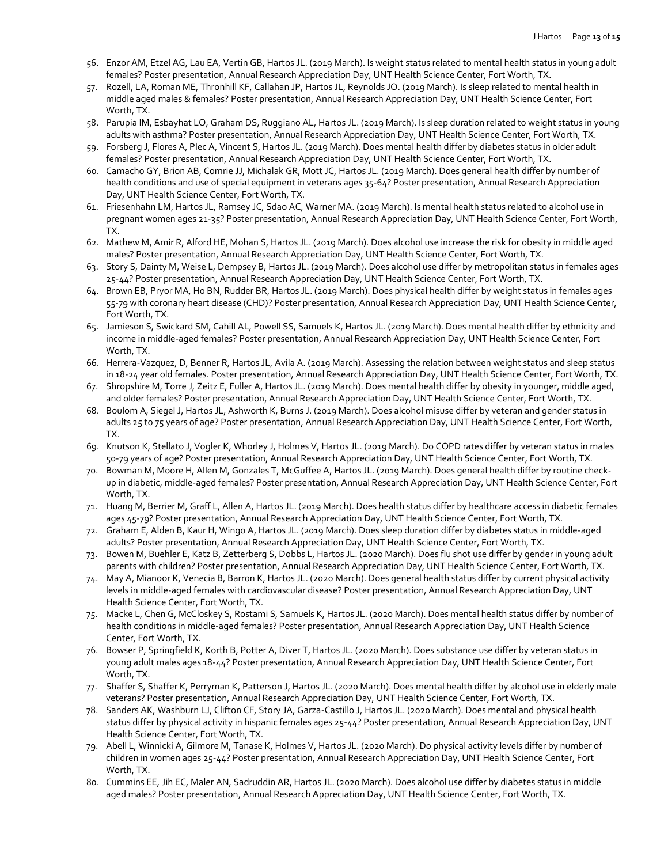- 56. Enzor AM, Etzel AG, Lau EA, Vertin GB, Hartos JL. (2019 March). Is weight status related to mental health status in young adult females? Poster presentation, Annual Research Appreciation Day, UNT Health Science Center, Fort Worth, TX.
- 57. Rozell, LA, Roman ME, Thronhill KF, Callahan JP, Hartos JL, Reynolds JO. (2019 March). Is sleep related to mental health in middle aged males & females? Poster presentation, Annual Research Appreciation Day, UNT Health Science Center, Fort Worth, TX.
- 58. Parupia IM, Esbayhat LO, Graham DS, Ruggiano AL, Hartos JL. (2019 March). Is sleep duration related to weight status in young adults with asthma? Poster presentation, Annual Research Appreciation Day, UNT Health Science Center, Fort Worth, TX.
- 59. Forsberg J, Flores A, Plec A, Vincent S, Hartos JL. (2019 March). Does mental health differ by diabetes status in older adult females? Poster presentation, Annual Research Appreciation Day, UNT Health Science Center, Fort Worth, TX.
- 60. Camacho GY, Brion AB, Comrie JJ, Michalak GR, Mott JC, Hartos JL. (2019 March). Does general health differ by number of health conditions and use of special equipment in veterans ages 35-64? Poster presentation, Annual Research Appreciation Day, UNT Health Science Center, Fort Worth, TX.
- 61. Friesenhahn LM, Hartos JL, Ramsey JC, Sdao AC, Warner MA. (2019 March). Is mental health status related to alcohol use in pregnant women ages 21-35? Poster presentation, Annual Research Appreciation Day, UNT Health Science Center, Fort Worth, TX.
- 62. Mathew M, Amir R, Alford HE, Mohan S, Hartos JL. (2019 March). Does alcohol use increase the risk for obesity in middle aged males? Poster presentation, Annual Research Appreciation Day, UNT Health Science Center, Fort Worth, TX.
- 63. Story S, Dainty M, Weise L, Dempsey B, Hartos JL. (2019 March). Does alcohol use differ by metropolitan status in females ages 25-44? Poster presentation, Annual Research Appreciation Day, UNT Health Science Center, Fort Worth, TX.
- 64. Brown EB, Pryor MA, Ho BN, Rudder BR, Hartos JL. (2019 March). Does physical health differ by weight status in females ages 55-79 with coronary heart disease (CHD)? Poster presentation, Annual Research Appreciation Day, UNT Health Science Center, Fort Worth, TX.
- 65. Jamieson S, Swickard SM, Cahill AL, Powell SS, Samuels K, Hartos JL. (2019 March). Does mental health differ by ethnicity and income in middle-aged females? Poster presentation, Annual Research Appreciation Day, UNT Health Science Center, Fort Worth, TX.
- 66. Herrera-Vazquez, D, Benner R, Hartos JL, Avila A. (2019 March). Assessing the relation between weight status and sleep status in 18-24 year old females. Poster presentation, Annual Research Appreciation Day, UNT Health Science Center, Fort Worth, TX.
- 67. Shropshire M, Torre J, Zeitz E, Fuller A, Hartos JL. (2019 March). Does mental health differ by obesity in younger, middle aged, and older females? Poster presentation, Annual Research Appreciation Day, UNT Health Science Center, Fort Worth, TX.
- 68. Boulom A, Siegel J, Hartos JL, Ashworth K, Burns J. (2019 March). Does alcohol misuse differ by veteran and gender status in adults 25 to 75 years of age? Poster presentation, Annual Research Appreciation Day, UNT Health Science Center, Fort Worth, TX.
- 69. Knutson K, Stellato J, Vogler K, Whorley J, Holmes V, Hartos JL. (2019 March). Do COPD rates differ by veteran status in males 50-79 years of age? Poster presentation, Annual Research Appreciation Day, UNT Health Science Center, Fort Worth, TX.
- 70. Bowman M, Moore H, Allen M, Gonzales T, McGuffee A, Hartos JL. (2019 March). Does general health differ by routine checkup in diabetic, middle-aged females? Poster presentation, Annual Research Appreciation Day, UNT Health Science Center, Fort Worth, TX.
- 71. Huang M, Berrier M, Graff L, Allen A, Hartos JL. (2019 March). Does health status differ by healthcare access in diabetic females ages 45-79? Poster presentation, Annual Research Appreciation Day, UNT Health Science Center, Fort Worth, TX.
- 72. Graham E, Alden B, Kaur H, Wingo A, Hartos JL. (2019 March). Does sleep duration differ by diabetes status in middle-aged adults? Poster presentation, Annual Research Appreciation Day, UNT Health Science Center, Fort Worth, TX.
- 73. Bowen M, Buehler E, Katz B, Zetterberg S, Dobbs L, Hartos JL. (2020 March). Does flu shot use differ by gender in young adult parents with children? Poster presentation, Annual Research Appreciation Day, UNT Health Science Center, Fort Worth, TX.
- 74. May A, Mianoor K, Venecia B, Barron K, Hartos JL. (2020 March). Does general health status differ by current physical activity levels in middle-aged females with cardiovascular disease? Poster presentation, Annual Research Appreciation Day, UNT Health Science Center, Fort Worth, TX.
- 75. Macke L, Chen G, McCloskey S, Rostami S, Samuels K, Hartos JL. (2020 March). Does mental health status differ by number of health conditions in middle-aged females? Poster presentation, Annual Research Appreciation Day, UNT Health Science Center, Fort Worth, TX.
- 76. Bowser P, Springfield K, Korth B, Potter A, Diver T, Hartos JL. (2020 March). Does substance use differ by veteran status in young adult males ages 18-44? Poster presentation, Annual Research Appreciation Day, UNT Health Science Center, Fort Worth, TX.
- 77. Shaffer S, Shaffer K, Perryman K, Patterson J, Hartos JL. (2020 March). Does mental health differ by alcohol use in elderly male veterans? Poster presentation, Annual Research Appreciation Day, UNT Health Science Center, Fort Worth, TX.
- 78. Sanders AK, Washburn LJ, Clifton CF, Story JA, Garza-Castillo J, Hartos JL. (2020 March). Does mental and physical health status differ by physical activity in hispanic females ages 25-44? Poster presentation, Annual Research Appreciation Day, UNT Health Science Center, Fort Worth, TX.
- 79. Abell L, Winnicki A, Gilmore M, Tanase K, Holmes V, Hartos JL. (2020 March). Do physical activity levels differ by number of children in women ages 25-44? Poster presentation, Annual Research Appreciation Day, UNT Health Science Center, Fort Worth, TX.
- 80. Cummins EE, Jih EC, Maler AN, Sadruddin AR, Hartos JL. (2020 March). Does alcohol use differ by diabetes status in middle aged males? Poster presentation, Annual Research Appreciation Day, UNT Health Science Center, Fort Worth, TX.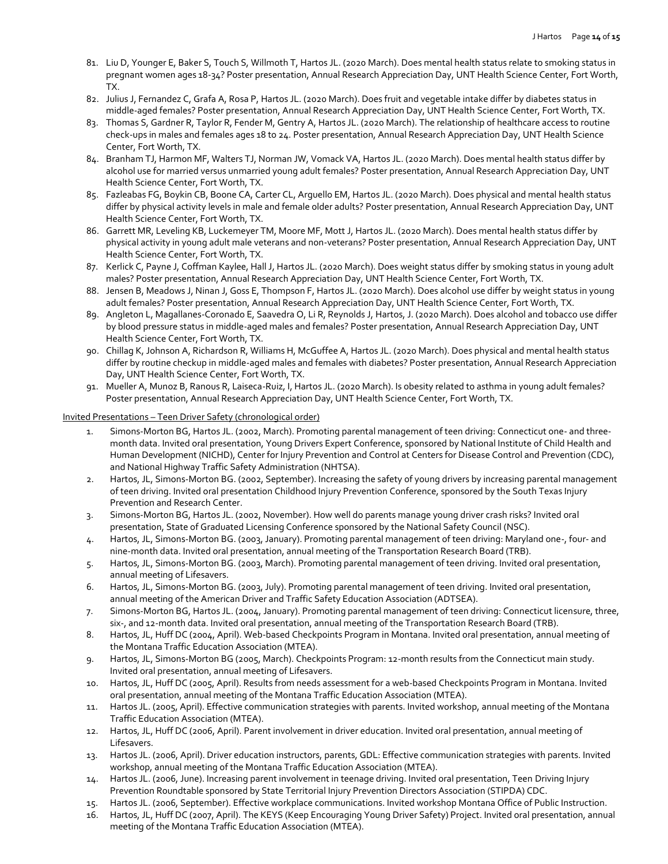- 81. Liu D, Younger E, Baker S, Touch S, Willmoth T, Hartos JL. (2020 March). Does mental health status relate to smoking status in pregnant women ages 18-34? Poster presentation, Annual Research Appreciation Day, UNT Health Science Center, Fort Worth, TX.
- 82. Julius J, Fernandez C, Grafa A, Rosa P, Hartos JL. (2020 March). Does fruit and vegetable intake differ by diabetes status in middle-aged females? Poster presentation, Annual Research Appreciation Day, UNT Health Science Center, Fort Worth, TX.
- 83. Thomas S, Gardner R, Taylor R, Fender M, Gentry A, Hartos JL. (2020 March). The relationship of healthcare access to routine check-ups in males and females ages 18 to 24. Poster presentation, Annual Research Appreciation Day, UNT Health Science Center, Fort Worth, TX.
- 84. Branham TJ, Harmon MF, Walters TJ, Norman JW, Vomack VA, Hartos JL. (2020 March). Does mental health status differ by alcohol use for married versus unmarried young adult females? Poster presentation, Annual Research Appreciation Day, UNT Health Science Center, Fort Worth, TX.
- 85. Fazleabas FG, Boykin CB, Boone CA, Carter CL, Arguello EM, Hartos JL. (2020 March). Does physical and mental health status differ by physical activity levels in male and female older adults? Poster presentation, Annual Research Appreciation Day, UNT Health Science Center, Fort Worth, TX.
- 86. Garrett MR, Leveling KB, Luckemeyer TM, Moore MF, Mott J, Hartos JL. (2020 March). Does mental health status differ by physical activity in young adult male veterans and non-veterans? Poster presentation, Annual Research Appreciation Day, UNT Health Science Center, Fort Worth, TX.
- 87. Kerlick C, Payne J, Coffman Kaylee, Hall J, Hartos JL. (2020 March). Does weight status differ by smoking status in young adult males? Poster presentation, Annual Research Appreciation Day, UNT Health Science Center, Fort Worth, TX.
- 88. Jensen B, Meadows J, Ninan J, Goss E, Thompson F, Hartos JL. (2020 March). Does alcohol use differ by weight status in young adult females? Poster presentation, Annual Research Appreciation Day, UNT Health Science Center, Fort Worth, TX.
- 89. Angleton L, Magallanes-Coronado E, Saavedra O, Li R, Reynolds J, Hartos, J. (2020 March). Does alcohol and tobacco use differ by blood pressure status in middle-aged males and females? Poster presentation, Annual Research Appreciation Day, UNT Health Science Center, Fort Worth, TX.
- 90. Chillag K, Johnson A, Richardson R, Williams H, McGuffee A, Hartos JL. (2020 March). Does physical and mental health status differ by routine checkup in middle-aged males and females with diabetes? Poster presentation, Annual Research Appreciation Day, UNT Health Science Center, Fort Worth, TX.
- 91. Mueller A, Munoz B, Ranous R, Laiseca-Ruiz, I, Hartos JL. (2020 March). Is obesity related to asthma in young adult females? Poster presentation, Annual Research Appreciation Day, UNT Health Science Center, Fort Worth, TX.

#### Invited Presentations – Teen Driver Safety (chronological order)

- 1. Simons-Morton BG, Hartos JL. (2002, March). Promoting parental management of teen driving: Connecticut one- and threemonth data. Invited oral presentation, Young Drivers Expert Conference, sponsored by National Institute of Child Health and Human Development (NICHD), Center for Injury Prevention and Control at Centers for Disease Control and Prevention (CDC), and National Highway Traffic Safety Administration (NHTSA).
- 2. Hartos, JL, Simons-Morton BG. (2002, September). Increasing the safety of young drivers by increasing parental management of teen driving. Invited oral presentation Childhood Injury Prevention Conference, sponsored by the South Texas Injury Prevention and Research Center.
- 3. Simons-Morton BG, Hartos JL. (2002, November). How well do parents manage young driver crash risks? Invited oral presentation, State of Graduated Licensing Conference sponsored by the National Safety Council (NSC).
- 4. Hartos, JL, Simons-Morton BG. (2003, January). Promoting parental management of teen driving: Maryland one-, four- and nine-month data. Invited oral presentation, annual meeting of the Transportation Research Board (TRB).
- 5. Hartos, JL, Simons-Morton BG. (2003, March). Promoting parental management of teen driving. Invited oral presentation, annual meeting of Lifesavers.
- 6. Hartos, JL, Simons-Morton BG. (2003, July). Promoting parental management of teen driving. Invited oral presentation, annual meeting of the American Driver and Traffic Safety Education Association (ADTSEA).
- 7. Simons-Morton BG, Hartos JL. (2004, January). Promoting parental management of teen driving: Connecticut licensure, three, six-, and 12-month data. Invited oral presentation, annual meeting of the Transportation Research Board (TRB).
- 8. Hartos, JL, Huff DC (2004, April). Web-based Checkpoints Program in Montana. Invited oral presentation, annual meeting of the Montana Traffic Education Association (MTEA).
- 9. Hartos, JL, Simons-Morton BG (2005, March). Checkpoints Program: 12-month results from the Connecticut main study. Invited oral presentation, annual meeting of Lifesavers.
- 10. Hartos, JL, Huff DC (2005, April). Results from needs assessment for a web-based Checkpoints Program in Montana. Invited oral presentation, annual meeting of the Montana Traffic Education Association (MTEA).
- 11. Hartos JL. (2005, April). Effective communication strategies with parents. Invited workshop, annual meeting of the Montana Traffic Education Association (MTEA).
- 12. Hartos, JL, Huff DC (2006, April). Parent involvement in driver education. Invited oral presentation, annual meeting of Lifesavers.
- 13. Hartos JL. (2006, April). Driver education instructors, parents, GDL: Effective communication strategies with parents. Invited workshop, annual meeting of the Montana Traffic Education Association (MTEA).
- 14. Hartos JL. (2006, June). Increasing parent involvement in teenage driving. Invited oral presentation, Teen Driving Injury Prevention Roundtable sponsored by State Territorial Injury Prevention Directors Association (STIPDA) CDC.
- 15. Hartos JL. (2006, September). Effective workplace communications. Invited workshop Montana Office of Public Instruction.
- 16. Hartos, JL, Huff DC (2007, April). The KEYS (Keep Encouraging Young Driver Safety) Project. Invited oral presentation, annual meeting of the Montana Traffic Education Association (MTEA).